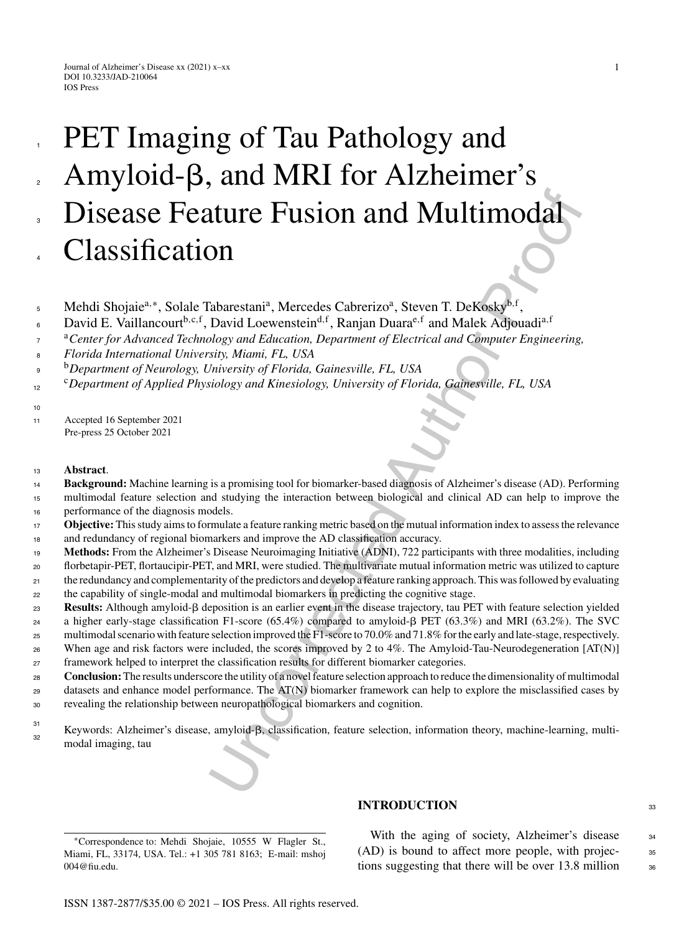# **ITTLE FUSION and Multimodal**<br>
DI<br>
Tabarestani<sup>a</sup>, Mercedes Cabreizzo<sup>a</sup>, Steven T. DeKosky<sup>b.r</sup>,<br>
David Loewenstein<sup>6.17</sup>, Ranjan Duara<sup>c.1</sup> and Malek Adjouadi<sup>a.17</sup><br> *Distinguis Dalogation, Department of Electrical and C* PET Imaging of Tau Pathology and Amyloid- $\beta$ , and MRI for Alzheimer's Disease Feature Fusion and Multimodal Classification

- Mehdi Shojaiea*,*<sup>∗</sup>, Solale Tabarestania, Mercedes Cabrerizoa, Steven T. DeKoskyb*,*<sup>f</sup> , 5
- David E. Vaillancourt<sup>b,c,f</sup>, David Loewenstein<sup>d,f</sup>, Ranjan Duara<sup>e,f</sup> and Malek Adjouadi<sup>a,f</sup> 6
- <sup>a</sup>*Center for Advanced Technology and Education, Department of Electrical and Computer Engineering,* 7
- *Florida International University, Miami, FL, USA* 8
- <sup>b</sup> <sup>9</sup> *Department of Neurology, University of Florida, Gainesville, FL, USA*
- <sup>c</sup>*Department of Applied Physiology and Kinesiology, University of Florida, Gainesville, FL, USA* 12

<sup>11</sup> Accepted 16 September 2021 Pre-press 25 October 2021

<sup>13</sup> **Abstract**.

1

2

3

4

10

- **Background:** Machine learning is a promising tool for biomarker-based diagnosis of Alzheimer's disease (AD). Performing 14
- multimodal feature selection and studying the interaction between biological and clinical AD can help to improve the performance of the diagnosis models. 15 16
- **Objective:** This study aims to formulate a feature ranking metric based on the mutual information index to assess the relevance and redundancy of regional biomarkers and improve the AD classification accuracy. 17 18
- **Methods:** From the Alzheimer's Disease Neuroimaging Initiative (ADNI), 722 participants with three modalities, including florbetapir-PET, flortaucipir-PET, and MRI, were studied. The multivariate mutual information metric was utilized to capture 19
- the redundancy and complementarity of the predictors and develop a feature ranking approach. This was followed by evaluating 20 21
- the capability of single-modal and multimodal biomarkers in predicting the cognitive stage. 22
- Results: Although amyloid- $\beta$  deposition is an earlier event in the disease trajectory, tau PET with feature selection yielded 23
- a higher early-stage classification F1-score (65.4%) compared to amyloid- $\beta$  PET (63.3%) and MRI (63.2%). The SVC 24
- multimodal scenario with feature selection improved the F1-score to 70.0% and 71.8% for the early and late-stage, respectively. When age and risk factors were included, the scores improved by 2 to 4%. The Amyloid-Tau-Neurodegeneration [AT(N)] 25 26
- framework helped to interpret the classification results for different biomarker categories. 27
- **Conclusion:**The results underscore the utility of a novel feature selection approach to reduce the dimensionality of multimodal datasets and enhance model performance. The AT(N) biomarker framework can help to explore the misclassified cases by 28 29
- revealing the relationship between neuropathological biomarkers and cognition.  $30$
- Keywords: Alzheimer's disease, amyloid- $\beta$ , classification, feature selection, information theory, machine-learning, multimodal imaging, tau 31 32

∗Correspondence to: Mehdi Shojaie, 10555 W Flagler St., Miami, FL, 33174, USA. Tel.: +1 305 781 8163; E-mail: [mshoj](mailto:mshoj{penalty -@M }004@fiu.edu) 004@fiu.edu.

# **INTRODUCTION** 33

With the aging of society, Alzheimer's disease 34 (AD) is bound to affect more people, with projec- <sup>35</sup> tions suggesting that there will be over  $13.8$  million  $36$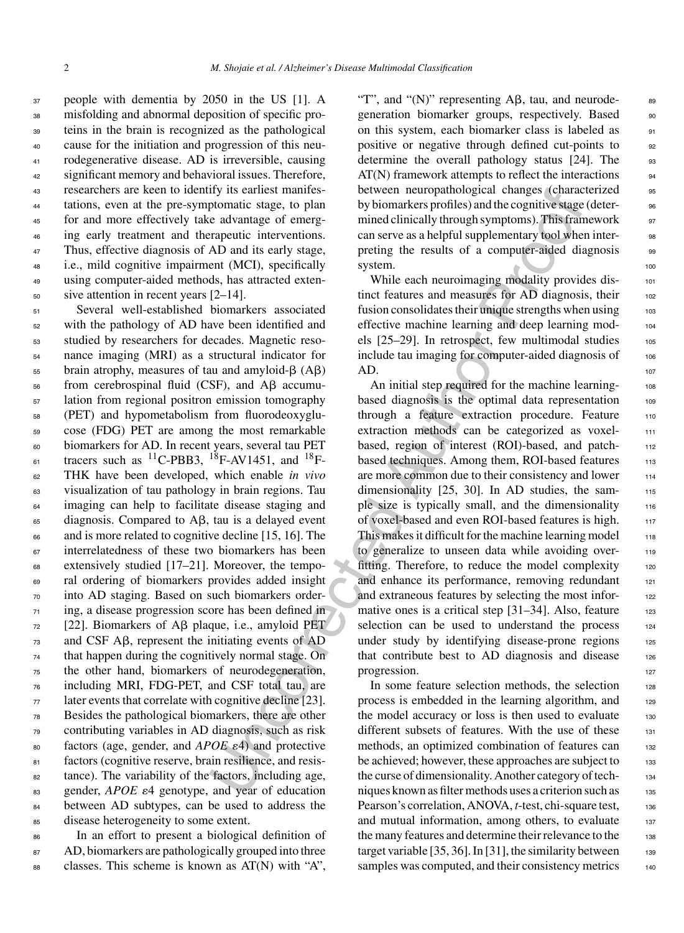people with dementia by 2050 in the US [1]. A misfolding and abnormal deposition of specific pro- teins in the brain is recognized as the pathological cause for the initiation and progression of this neu- rodegenerative disease. AD is irreversible, causing significant memory and behavioral issues. Therefore, researchers are keen to identify its earliest manifes- tations, even at the pre-symptomatic stage, to plan for and more effectively take advantage of emerg- ing early treatment and therapeutic interventions. Thus, effective diagnosis of AD and its early stage, i.e., mild cognitive impairment (MCI), specifically using computer-aided methods, has attracted exten-sive attention in recent years [2–14].

 Several well-established biomarkers associated with the pathology of AD have been identified and studied by researchers for decades. Magnetic reso- nance imaging (MRI) as a structural indicator for brain atrophy, measures of tau and amyloid- $\beta$  (A $\beta$ ) from cerebrospinal fluid (CSF), and A $\beta$  accumu- lation from regional positron emission tomography (PET) and hypometabolism from fluorodeoxyglu- cose (FDG) PET are among the most remarkable biomarkers for AD. In recent years, several tau PET  $_{61}$  tracers such as <sup>11</sup>C-PBB3, <sup>18</sup>F-AV1451, and <sup>18</sup>F- THK have been developed, which enable *in vivo* visualization of tau pathology in brain regions. Tau <sup>64</sup> imaging can help to facilitate disease staging and diagnosis. Compared to A $\beta$ , tau is a delayed event and is more related to cognitive decline [15, 16]. The interrelatedness of these two biomarkers has been  $\epsilon_{88}$  extensively studied [17–21]. Moreover, the tempo- ral ordering of biomarkers provides added insight into AD staging. Based on such biomarkers order- ing, a disease progression score has been defined in [22]. Biomarkers of A $\beta$  plaque, i.e., amyloid PET and CSF A $\beta$ , represent the initiating events of AD that happen during the cognitively normal stage. On the other hand, biomarkers of neurodegeneration, including MRI, FDG-PET, and CSF total tau, are later events that correlate with cognitive decline [23]. Besides the pathological biomarkers, there are other contributing variables in AD diagnosis, such as risk  $\delta$ <sub>80</sub> factors (age, gender, and *APOE*  $\varepsilon$ 4) and protective factors (cognitive reserve, brain resilience, and resis- tance). The variability of the factors, including age, 83 gender, *APOE* ε4 genotype, and year of education 84 between AD subtypes, can be used to address the disease heterogeneity to some extent.

<sup>86</sup> In an effort to present a biological definition of 87 AD, biomarkers are pathologically grouped into three  $\text{88}$  classes. This scheme is known as AT(N) with "A",

"T", and "(N)" representing  $\overrightarrow{AB}$ , tau, and neurodegeneration biomarker groups, respectively. Based 90 on this system, each biomarker class is labeled as  $91$ positive or negative through defined cut-points to 92 determine the overall pathology status [24]. The 93  $AT(N)$  framework attempts to reflect the interactions  $94$ between neuropathological changes (characterized 95 by biomarkers profiles) and the cognitive stage (determined clinically through symptoms). This framework 97 can serve as a helpful supplementary tool when inter-<br>se preting the results of a computer-aided diagnosis 99 system.

While each neuroimaging modality provides distinct features and measures for AD diagnosis, their 102 fusion consolidates their unique strengths when using 103 effective machine learning and deep learning mod- <sup>104</sup> els  $[25-29]$ . In retrospect, few multimodal studies  $105$ include tau imaging for computer-aided diagnosis of 106  $AD.$  107

Ity is earliest mannes between neuropathological changes (character and by biomarkers profiles) and the cognitive stage<br>equation by biomarkers profiles) and the cognitive stage<br>equation in the proofile interactions. This An initial step required for the machine learning-<br>108 based diagnosis is the optimal data representation 109 through a feature extraction procedure. Feature 110 extraction methods can be categorized as voxel-<br>111 based, region of interest (ROI)-based, and patchbased techniques. Among them, ROI-based features 113 are more common due to their consistency and lower 114 dimensionality  $[25, 30]$ . In AD studies, the sample size is typically small, and the dimensionality 116 of voxel-based and even ROI-based features is high. 117 This makes it difficult for the machine learning model  $118$ to generalize to unseen data while avoiding overfitting. Therefore, to reduce the model complexity 120 and enhance its performance, removing redundant 121 and extraneous features by selecting the most informative ones is a critical step  $[31-34]$ . Also, feature 123 selection can be used to understand the process  $124$ under study by identifying disease-prone regions  $125$ that contribute best to AD diagnosis and disease  $126$ progression.

In some feature selection methods, the selection 128 process is embedded in the learning algorithm, and 129 the model accuracy or loss is then used to evaluate 130 different subsets of features. With the use of these 131 methods, an optimized combination of features can 132 be achieved; however, these approaches are subject to 133 the curse of dimensionality. Another category of techniques known as filter methods uses a criterion such as 135 Pearson's correlation, ANOVA, *t*-test, chi-square test, 136 and mutual information, among others, to evaluate 137 the many features and determine their relevance to the 138 target variable  $[35, 36]$ . In  $[31]$ , the similarity between 139 samples was computed, and their consistency metrics 140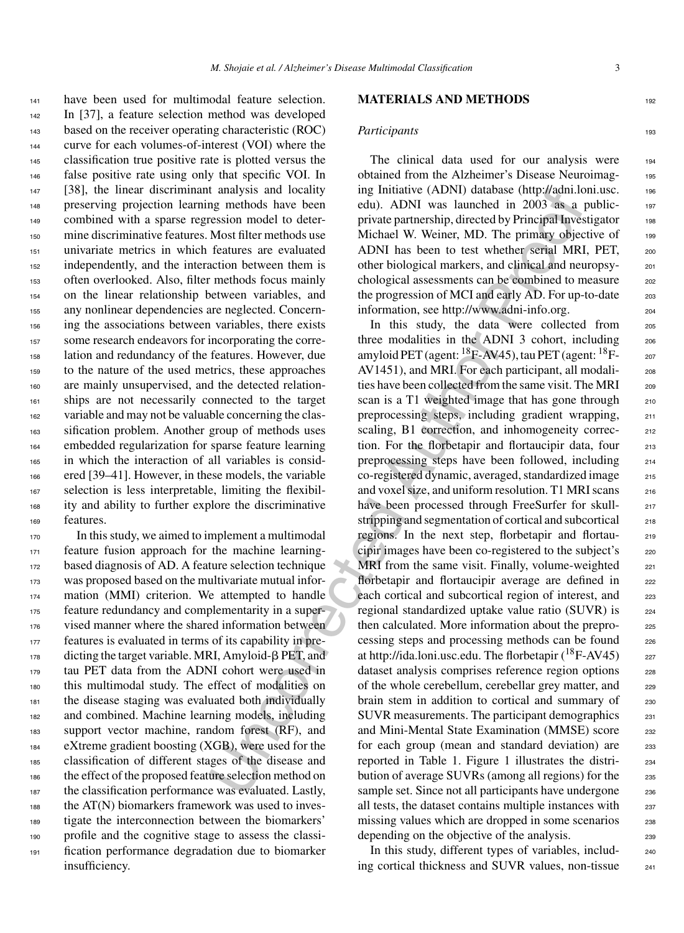have been used for multimodal feature selection. In [37], a feature selection method was developed based on the receiver operating characteristic (ROC) curve for each volumes-of-interest (VOI) where the classification true positive rate is plotted versus the false positive rate using only that specific VOI. In [38], the linear discriminant analysis and locality preserving projection learning methods have been combined with a sparse regression model to deter- mine discriminative features. Most filter methods use univariate metrics in which features are evaluated independently, and the interaction between them is often overlooked. Also, filter methods focus mainly on the linear relationship between variables, and any nonlinear dependencies are neglected. Concern- ing the associations between variables, there exists some research endeavors for incorporating the corre- lation and redundancy of the features. However, due to the nature of the used metrics, these approaches are mainly unsupervised, and the detected relation- ships are not necessarily connected to the target variable and may not be valuable concerning the clas- sification problem. Another group of methods uses embedded regularization for sparse feature learning in which the interaction of all variables is consid- ered [39–41]. However, in these models, the variable selection is less interpretable, limiting the flexibil- ity and ability to further explore the discriminative features.

 In this study, we aimed to implement a multimodal feature fusion approach for the machine learning- based diagnosis of AD. A feature selection technique was proposed based on the multivariate mutual infor-174 mation (MMI) criterion. We attempted to handle feature redundancy and complementarity in a super- vised manner where the shared information between features is evaluated in terms of its capability in pre- dicting the target variable. MRI, Amyloid-- PET, and tau PET data from the ADNI cohort were used in this multimodal study. The effect of modalities on the disease staging was evaluated both individually and combined. Machine learning models, including support vector machine, random forest (RF), and eXtreme gradient boosting (XGB), were used for the classification of different stages of the disease and the effect of the proposed feature selection method on the classification performance was evaluated. Lastly, 188 the AT(N) biomarkers framework was used to inves- tigate the interconnection between the biomarkers' profile and the cognitive stage to assess the classi- fication performance degradation due to biomarker insufficiency.

# **MATERIALS AND METHODS**

# *Participants* 193

The clinical data used for our analysis were 194 obtained from the Alzheimer's Disease Neuroimag- <sup>195</sup> ing Initiative (ADNI) database ([http://adni.loni.usc.](http://adni.loni.usc.edu) <sup>196</sup> edu). ADNI was launched in 2003 as a public- <sup>197</sup> private partnership, directed by Principal Investigator 198 Michael W. Weiner, MD. The primary objective of 199 ADNI has been to test whether serial MRI, PET, 200 other biological markers, and clinical and neuropsy- <sup>201</sup> chological assessments can be combined to measure 202 the progression of MCI and early  $AD$ . For up-to-date  $203$ information, see http://www.adni-info.org. <sup>204</sup>

Uncorrected Author [P](http://www.adni-info.org)roof In this study, the data were collected from <sup>205</sup> three modalities in the ADNI 3 cohort, including 206 amyloid PET (agent: <sup>18</sup>F-AV45), tau PET (agent: <sup>18</sup>F- 207 AV1451), and MRI. For each participant, all modali-<br>208 ties have been collected from the same visit. The MRI 209 scan is a T1 weighted image that has gone through 210 preprocessing steps, including gradient wrapping, <sup>211</sup> scaling, B1 correction, and inhomogeneity correc-<br>212 tion. For the florbetapir and flortaucipir data, four 213 preprocessing steps have been followed, including <sup>214</sup> co-registered dynamic, averaged, standardized image <sup>215</sup> and voxel size, and uniform resolution. T1 MRI scans  $216$ have been processed through FreeSurfer for skull-<br>217 stripping and segmentation of cortical and subcortical 218 regions. In the next step, florbetapir and flortau- <sup>219</sup> cipir images have been co-registered to the subject's 220 MRI from the same visit. Finally, volume-weighted  $_{221}$ florbetapir and flortaucipir average are defined in 222 each cortical and subcortical region of interest, and 223 regional standardized uptake value ratio (SUVR) is <sup>224</sup> then calculated. More information about the preprocessing steps and processing methods can be found 226 at http://ida.loni.usc.edu. The florbetapir  $(^{18}F-AV45)$  227 dataset analysis comprises reference region options 228 of the whole cerebellum, cerebellar grey matter, and 229 brain stem in addition to cortical and summary of 230 SUVR measurements. The participant demographics 231 and Mini-Mental State Examination (MMSE) score 232 for each group (mean and standard deviation) are 233 reported in Table 1. Figure 1 illustrates the distri- <sup>234</sup> bution of average SUVRs (among all regions) for the 235 sample set. Since not all participants have undergone 236 all tests, the dataset contains multiple instances with 237 missing values which are dropped in some scenarios 238 depending on the objective of the analysis.

> In this study, different types of variables, includ-<br><sub>240</sub> ing cortical thickness and SUVR values, non-tissue 241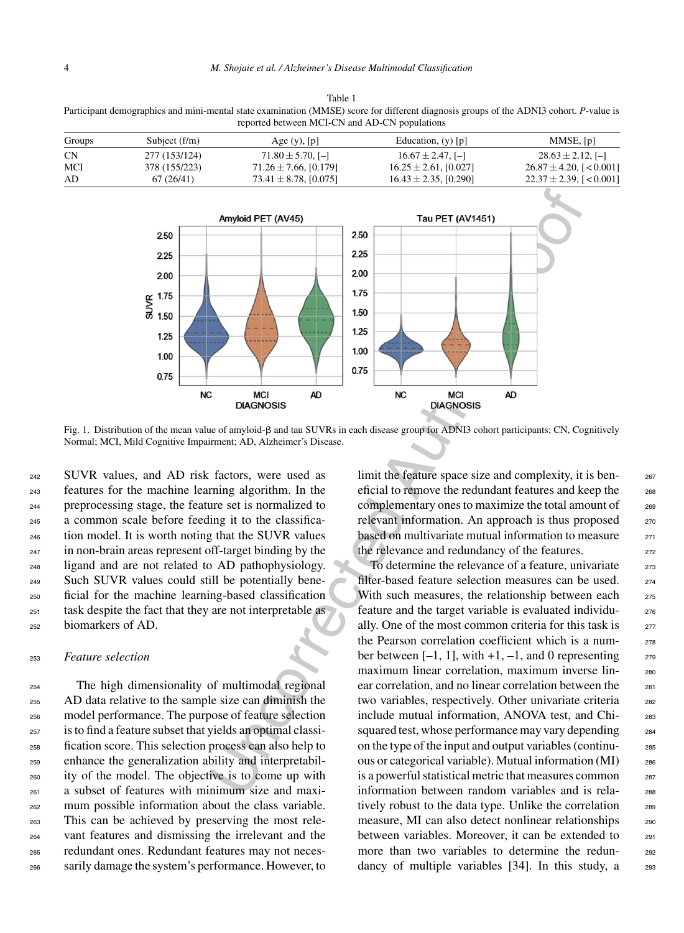| Table 1                                                                                                                                |
|----------------------------------------------------------------------------------------------------------------------------------------|
| Participant demographics and mini-mental state examination (MMSE) score for different diagnosis groups of the ADNI3 cohort. P-value is |
| reported between MCI-CN and AD-CN populations                                                                                          |

| Groups    | Subject $(f/m)$ | Age $(y)$ , $[p]$          | Education, $(y)$ [p]       | MMSE, [p]                   |
|-----------|-----------------|----------------------------|----------------------------|-----------------------------|
| <b>CN</b> | 277 (153/124)   | $71.80 \pm 5.70$ , [-]     | $16.67 \pm 2.47$ , [-]     | $28.63 \pm 2.12$ , [-]      |
| MCI       | 378 (155/223)   | $71.26 \pm 7.66$ , [0.179] | $16.25 \pm 2.61$ , [0.027] | $26.87 \pm 4.20$ , [<0.001] |
| AD        | 67(26/41)       | $73.41 \pm 8.78$ , [0.075] | $16.43 \pm 2.35, [0.290]$  | $22.37 \pm 2.39$ , [<0.001] |



Fig. 1. Distribution of the mean value of amyloid- $\beta$  and tau SUVRs in each disease group for ADNI3 cohort participants; CN, Cognitively Normal; MCI, Mild Cognitive Impairment; AD, Alzheimer's Disease.

 SUVR values, and AD risk factors, were used as features for the machine learning algorithm. In the preprocessing stage, the feature set is normalized to a common scale before feeding it to the classifica- tion model. It is worth noting that the SUVR values in non-brain areas represent off-target binding by the ligand and are not related to AD pathophysiology. Such SUVR values could still be potentially bene- ficial for the machine learning-based classification task despite the fact that they are not interpretable as biomarkers of AD.

## <sup>253</sup> *Feature selection*

 The high dimensionality of multimodal regional AD data relative to the sample size can diminish the model performance. The purpose of feature selection is to find a feature subset that yields an optimal classi- fication score. This selection process can also help to enhance the generalization ability and interpretabil- ity of the model. The objective is to come up with a subset of features with minimum size and maxi- mum possible information about the class variable. This can be achieved by preserving the most rele- vant features and dismissing the irrelevant and the redundant ones. Redundant features may not neces-sarily damage the system's performance. However, to limit the feature space size and complexity, it is beneficial to remove the redundant features and keep the 268 complementary ones to maximize the total amount of 269 relevant information. An approach is thus proposed 270 based on multivariate mutual information to measure 271 the relevance and redundancy of the features.

To determine the relevance of a feature, univariate  $273$ filter-based feature selection measures can be used. 274 With such measures, the relationship between each 275 feature and the target variable is evaluated individu- <sup>276</sup> ally. One of the most common criteria for this task is 277 the Pearson correlation coefficient which is a number between  $[-1, 1]$ , with  $+1, -1$ , and 0 representing  $279$ maximum linear correlation, maximum inverse lin-<br>280 ear correlation, and no linear correlation between the <sub>281</sub> two variables, respectively. Other univariate criteria 282 include mutual information, ANOVA test, and Chi-<br>283 squared test, whose performance may vary depending <sub>284</sub> on the type of the input and output variables (continu- <sup>285</sup> ous or categorical variable). Mutual information (MI) <sup>286</sup> is a powerful statistical metric that measures common 287 information between random variables and is rela-<br>288 tively robust to the data type. Unlike the correlation 289 measure, MI can also detect nonlinear relationships 290 between variables. Moreover, it can be extended to <sub>291</sub> more than two variables to determine the redun-<br>292 dancy of multiple variables [34]. In this study, a 293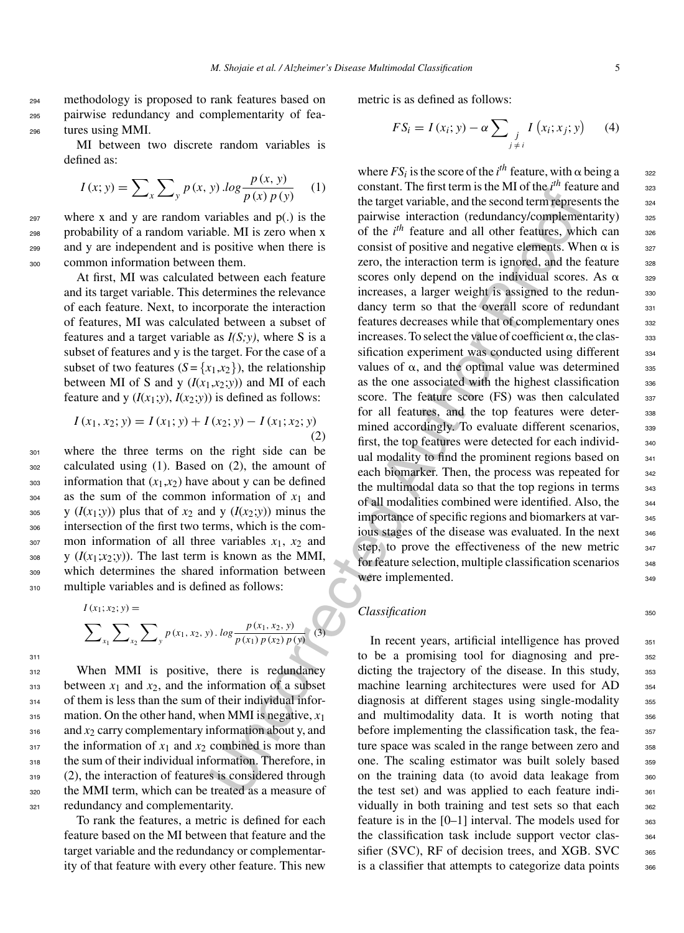<sup>294</sup> methodology is proposed to rank features based on <sup>295</sup> pairwise redundancy and complementarity of fea-<sup>296</sup> tures using MMI.

> MI between two discrete random variables is defined as:

$$
I(x; y) = \sum_{x} \sum_{y} p(x, y) \cdot \log \frac{p(x, y)}{p(x) p(y)} \quad (1)
$$

 where x and y are random variables and  $p(.)$  is the probability of a random variable. MI is zero when x and y are independent and is positive when there is common information between them.

> At first, MI was calculated between each feature and its target variable. This determines the relevance of each feature. Next, to incorporate the interaction of features, MI was calculated between a subset of features and a target variable as *I(S;y)*, where S is a subset of features and y is the target. For the case of a subset of two features  $(S = \{x_1, x_2\})$ , the relationship between MI of S and y  $(I(x_1, x_2; y))$  and MI of each feature and y  $(I(x_1; y), I(x_2; y))$  is defined as follows:

$$
I(x_1, x_2; y) = I(x_1; y) + I(x_2; y) - I(x_1; x_2; y)
$$
\n(2)

 where the three terms on the right side can be calculated using (1). Based on (2), the amount of information that  $(x_1, x_2)$  have about y can be defined as the sum of the common information of  $x_1$  and  $\frac{1}{305}$  y ( $I(x_1; y)$ ) plus that of  $x_2$  and y ( $I(x_2; y)$ ) minus the intersection of the first two terms, which is the com- mon information of all three variables  $x_1$ ,  $x_2$  and 308 y  $(I(x_1; x_2; y))$ . The last term is known as the MMI, which determines the shared information between multiple variables and is defined as follows:

$$
I(x_1; x_2; y) = \sum_{x_1} \sum_{x_2} \sum_{y} p(x_1, x_2, y) \cdot \log \frac{p(x_1, x_2, y)}{p(x_1) p(x_2) p(y)}
$$
(3)

311

<sup>312</sup> When MMI is positive, there is redundancy  $_{313}$  between  $x_1$  and  $x_2$ , and the information of a subset 314 of them is less than the sum of their individual infor- $_{315}$  mation. On the other hand, when MMI is negative,  $x_1$  $_{316}$  and  $x_2$  carry complementary information about y, and  $317$  the information of  $x_1$  and  $x_2$  combined is more than <sup>318</sup> the sum of their individual information. Therefore, in <sup>319</sup> (2), the interaction of features is considered through <sup>320</sup> the MMI term, which can be treated as a measure of <sup>321</sup> redundancy and complementarity.

To rank the features, a metric is defined for each feature based on the MI between that feature and the target variable and the redundancy or complementarity of that feature with every other feature. This new metric is as defined as follows:

$$
FS_i = I(x_i; y) - \alpha \sum_{\substack{j\\j \neq i}} I(x_i; x_j; y) \qquad (4)
$$

(x) (x) (x) to the partiest than the interesting on the react of the particular interesting and (x) is the particular interesting and (x) is the particular interest of the particular properties in the non-<br>and the second where  $FS_i$  is the score of the *i*<sup>th</sup> feature, with  $\alpha$  being a see constant. The first term is the MI of the *i*<sup>th</sup> feature and constant. The first term is the MI of the  $i<sup>th</sup>$  feature and  $323$ the target variable, and the second term represents the  $324$ pairwise interaction (redundancy/complementarity) 325 of the *i*<sup>th</sup> feature and all other features, which can <sup>326</sup> consist of positive and negative elements. When  $\alpha$  is  $327$ zero, the interaction term is ignored, and the feature 328 scores only depend on the individual scores. As  $\alpha$  329 increases, a larger weight is assigned to the redun-<br>330 dancy term so that the overall score of redundant 331 features decreases while that of complementary ones 332 increases. To select the value of coefficient  $\alpha$ , the clas- 333 sification experiment was conducted using different  $334$ values of  $\alpha$ , and the optimal value was determined  $\alpha$ 335 as the one associated with the highest classification 336 score. The feature score (FS) was then calculated 337 for all features, and the top features were deter-<br>338 mined accordingly. To evaluate different scenarios,  $339$ first, the top features were detected for each individ-<br>340 ual modality to find the prominent regions based on  $341$ each biomarker. Then, the process was repeated for  $342$ the multimodal data so that the top regions in terms  $_{343}$ of all modalities combined were identified. Also, the <sup>344</sup> importance of specific regions and biomarkers at var-<br>345 ious stages of the disease was evaluated. In the next  $346$ step, to prove the effectiveness of the new metric  $347$ for feature selection, multiple classification scenarios 348 were implemented. 349

# *Classification* 350

In recent years, artificial intelligence has proved 351 to be a promising tool for diagnosing and pre- <sup>352</sup> dicting the trajectory of the disease. In this study, 353 machine learning architectures were used for AD 354 diagnosis at different stages using single-modality 355 and multimodality data. It is worth noting that 356 before implementing the classification task, the fea-<br>357 ture space was scaled in the range between zero and <sub>358</sub> one. The scaling estimator was built solely based 359 on the training data (to avoid data leakage from 360 the test set) and was applied to each feature indi-<br>361 vidually in both training and test sets so that each 362 feature is in the  $[0-1]$  interval. The models used for  $363$ the classification task include support vector clas-<br><sub>364</sub> sifier (SVC), RF of decision trees, and XGB. SVC 365 is a classifier that attempts to categorize data points 366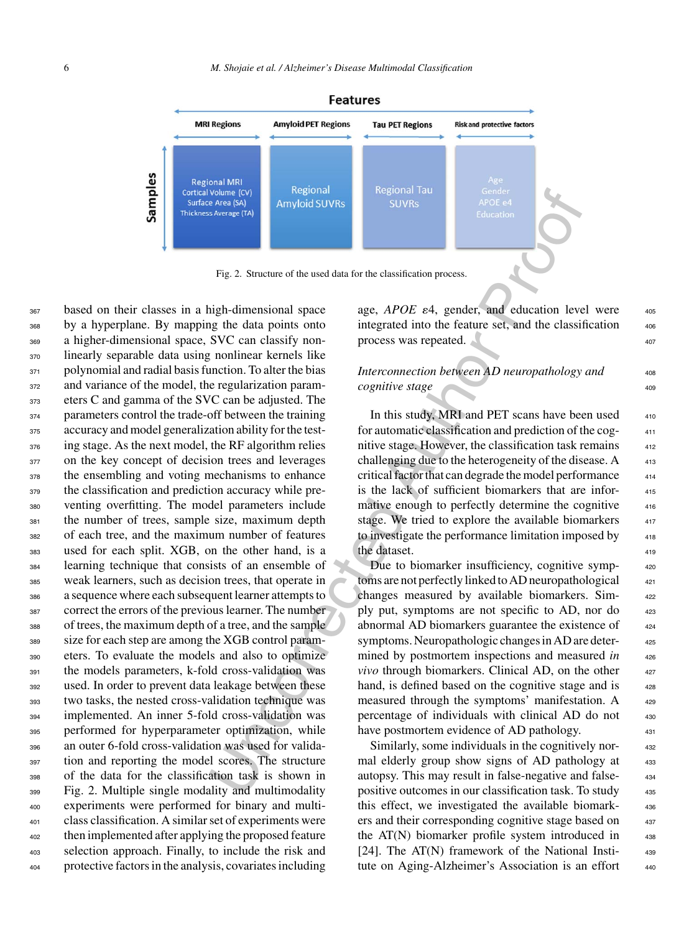

Fig. 2. Structure of the used data for the classification process.

Vergonal is exposinal to the state of the state of the state of the state of the state of the state of the state of the state of the state of the state of the state of the state of the state of the state of the state of t based on their classes in a high-dimensional space by a hyperplane. By mapping the data points onto a higher-dimensional space, SVC can classify non- linearly separable data using nonlinear kernels like 371 polynomial and radial basis function. To alter the bias and variance of the model, the regularization param- eters C and gamma of the SVC can be adjusted. The parameters control the trade-off between the training accuracy and model generalization ability for the test- ing stage. As the next model, the RF algorithm relies 377 on the key concept of decision trees and leverages the ensembling and voting mechanisms to enhance the classification and prediction accuracy while pre- venting overfitting. The model parameters include the number of trees, sample size, maximum depth of each tree, and the maximum number of features used for each split. XGB, on the other hand, is a learning technique that consists of an ensemble of weak learners, such as decision trees, that operate in a sequence where each subsequent learner attempts to correct the errors of the previous learner. The number of trees, the maximum depth of a tree, and the sample size for each step are among the XGB control param- eters. To evaluate the models and also to optimize the models parameters, k-fold cross-validation was used. In order to prevent data leakage between these two tasks, the nested cross-validation technique was implemented. An inner 5-fold cross-validation was performed for hyperparameter optimization, while an outer 6-fold cross-validation was used for valida- tion and reporting the model scores. The structure of the data for the classification task is shown in Fig. 2. Multiple single modality and multimodality experiments were performed for binary and multi- class classification. A similar set of experiments were then implemented after applying the proposed feature selection approach. Finally, to include the risk and protective factors in the analysis, covariates including

age, *APOE*  $\varepsilon$ 4, gender, and education level were  $405$ integrated into the feature set, and the classification process was repeated.  $\sqrt{407}$ 

*Interconnection between AD neuropathology and cognitive stage*  $409$ 

In this study, MRI and PET scans have been used for automatic classification and prediction of the cog- <sup>411</sup> nitive stage. However, the classification task remains challenging due to the heterogeneity of the disease.  $A_{413}$ critical factor that can degrade the model performance <sup>414</sup> is the lack of sufficient biomarkers that are infor-<br>415 mative enough to perfectly determine the cognitive 416 stage. We tried to explore the available biomarkers 417 to investigate the performance limitation imposed by the dataset. 419

Due to biomarker insufficiency, cognitive symptoms are not perfectly linked to AD neuropathological changes measured by available biomarkers. Sim- <sup>422</sup> ply put, symptoms are not specific to AD, nor do abnormal AD biomarkers guarantee the existence of symptoms. Neuropathologic changes in AD are determined by postmortem inspections and measured *in vivo* through biomarkers. Clinical AD, on the other  $427$ hand, is defined based on the cognitive stage and is measured through the symptoms' manifestation. A 429 percentage of individuals with clinical AD do not 430 have postmortem evidence of AD pathology.

Similarly, some individuals in the cognitively nor-<br>432 mal elderly group show signs of AD pathology at 433 autopsy. This may result in false-negative and false- <sup>434</sup> positive outcomes in our classification task. To study <sup>435</sup> this effect, we investigated the available biomark- <sup>436</sup> ers and their corresponding cognitive stage based on the  $AT(N)$  biomarker profile system introduced in  $438$ [24]. The AT(N) framework of the National Insti-<br>439 tute on Aging-Alzheimer's Association is an effort 440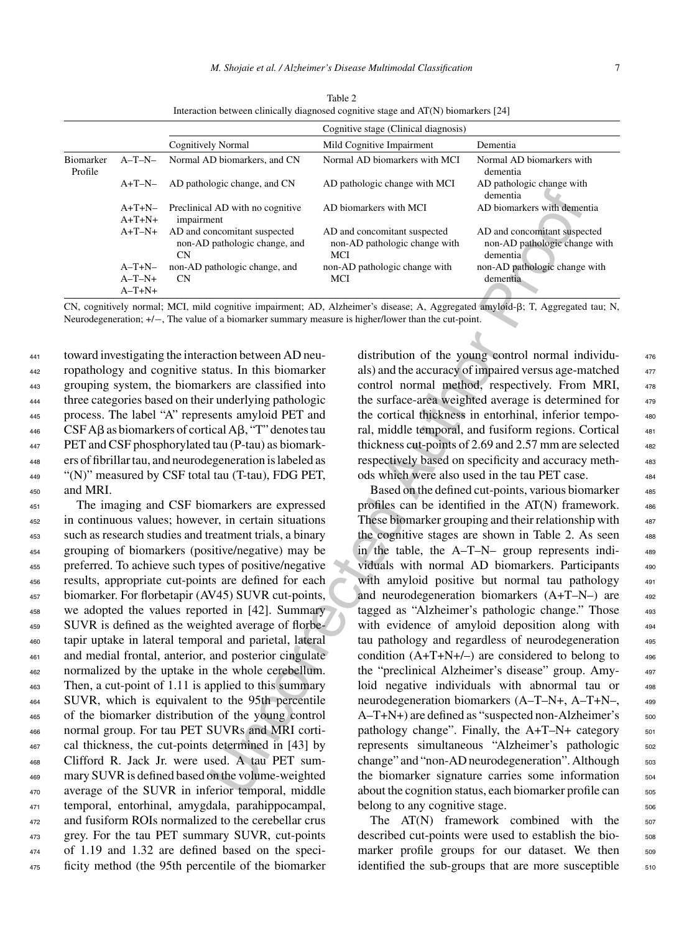|                             |                      |                                                                            | Cognitive stage (Clinical diagnosis)                                        |                                                                            |
|-----------------------------|----------------------|----------------------------------------------------------------------------|-----------------------------------------------------------------------------|----------------------------------------------------------------------------|
|                             |                      | <b>Cognitively Normal</b>                                                  | Mild Cognitive Impairment                                                   | Dementia                                                                   |
| <b>Biomarker</b><br>Profile | $A-T-N-$             | Normal AD biomarkers, and CN                                               | Normal AD biomarkers with MCI                                               | Normal AD biomarkers with<br>dementia                                      |
|                             | $A+T-N-$             | AD pathologic change, and CN                                               | AD pathologic change with MCI                                               | AD pathologic change with<br>dementia                                      |
|                             | $A+T+N-$<br>$A+T+N+$ | Preclinical AD with no cognitive<br>impairment                             | AD biomarkers with MCI                                                      | AD biomarkers with dementia                                                |
|                             | $A+T-N+$             | AD and concomitant suspected<br>non-AD pathologic change, and<br><b>CN</b> | AD and concomitant suspected<br>non-AD pathologic change with<br><b>MCI</b> | AD and concomitant suspected<br>non-AD pathologic change with<br>demential |
|                             | $A-T+N-$             | non-AD pathologic change, and                                              | non-AD pathologic change with                                               | non-AD pathologic change with                                              |
|                             | $A-T-N+$             | CN                                                                         | MCI                                                                         | dementia                                                                   |
|                             | $A-T+N+$             |                                                                            |                                                                             |                                                                            |

Table 2 Interaction between clinically diagnosed cognitive stage and AT(N) biomarkers [24]

CN, cognitively normal; MCI, mild cognitive impairment; AD, Alzheimer's disease; A, Aggregated amyloid- $\beta$ ; T, Aggregated tau; N, Neurodegeneration; +/−, The value of a biomarker summary measure is higher/lower than the cut-point.

 toward investigating the interaction between AD neu- ropathology and cognitive status. In this biomarker grouping system, the biomarkers are classified into three categories based on their underlying pathologic process. The label "A" represents amyloid PET and CSF A $\beta$  as biomarkers of cortical A $\beta$ , "T" denotes tau PET and CSF phosphorylated tau (P-tau) as biomark- ers of fibrillar tau, and neurodegeneration is labeled as "(N)" measured by CSF total tau (T-tau), FDG PET, <sup>450</sup> and MRI.

 The imaging and CSF biomarkers are expressed in continuous values; however, in certain situations such as research studies and treatment trials, a binary grouping of biomarkers (positive/negative) may be preferred. To achieve such types of positive/negative results, appropriate cut-points are defined for each biomarker. For florbetapir (AV45) SUVR cut-points, we adopted the values reported in [42]. Summary SUVR is defined as the weighted average of florbe- tapir uptake in lateral temporal and parietal, lateral and medial frontal, anterior, and posterior cingulate normalized by the uptake in the whole cerebellum. Then, a cut-point of 1.11 is applied to this summary SUVR, which is equivalent to the 95th percentile of the biomarker distribution of the young control normal group. For tau PET SUVRs and MRI corti- cal thickness, the cut-points determined in [43] by Clifford R. Jack Jr. were used. A tau PET sum- mary SUVR is defined based on the volume-weighted average of the SUVR in inferior temporal, middle temporal, entorhinal, amygdala, parahippocampal, and fusiform ROIs normalized to the cerebellar crus grey. For the tau PET summary SUVR, cut-points of 1.19 and 1.32 are defined based on the speci-ficity method (the 95th percentile of the biomarker

distribution of the young control normal individu- <sup>476</sup> als) and the accuracy of impaired versus age-matched  $477$ control normal method, respectively. From MRI, <sup>478</sup> the surface-area weighted average is determined for  $479$ the cortical thickness in entorhinal, inferior tempo-<br>480 ral, middle temporal, and fusiform regions. Cortical 481 thickness cut-points of 2.69 and 2.57 mm are selected  $_{482}$ respectively based on specificity and accuracy meth- <sup>483</sup> ods which were also used in the tau PET case. <sup>484</sup>

An AD with no cognitive AD biomarkers with MCI<br>
An AD biomarkers with demonstrates with demonstrates with demonstrates with demonstrates with demonstrates and anon-AD pathologic change with non-AD pathologic change with an Based on the defined cut-points, various biomarker  $485$ profiles can be identified in the  $AT(N)$  framework.  $486$ These biomarker grouping and their relationship with 487 the cognitive stages are shown in Table 2. As seen  $488$ in the table, the A–T–N– group represents individuals with normal AD biomarkers. Participants 490 with amyloid positive but normal tau pathology  $491$ and neurodegeneration biomarkers (A+T–N–) are  $492$ tagged as "Alzheimer's pathologic change." Those 493 with evidence of amyloid deposition along with 494 tau pathology and regardless of neurodegeneration 495 condition  $(A+T+N+/-)$  are considered to belong to  $496$ the "preclinical Alzheimer's disease" group. Amy- <sup>497</sup> loid negative individuals with abnormal tau or 498 neurodegeneration biomarkers (A–T–N+, A–T+N–, 499  $A-T+N+$ ) are defined as "suspected non-Alzheimer's  $500$ pathology change". Finally, the  $A+T-N+$  category  $501$ represents simultaneous "Alzheimer's pathologic 502 change" and "non-AD neurodegeneration". Although  $503$ the biomarker signature carries some information  $504$ about the cognition status, each biomarker profile can sos belong to any cognitive stage.

> The  $AT(N)$  framework combined with the  $507$ described cut-points were used to establish the biomarker profile groups for our dataset. We then 509 identified the sub-groups that are more susceptible  $\qquad$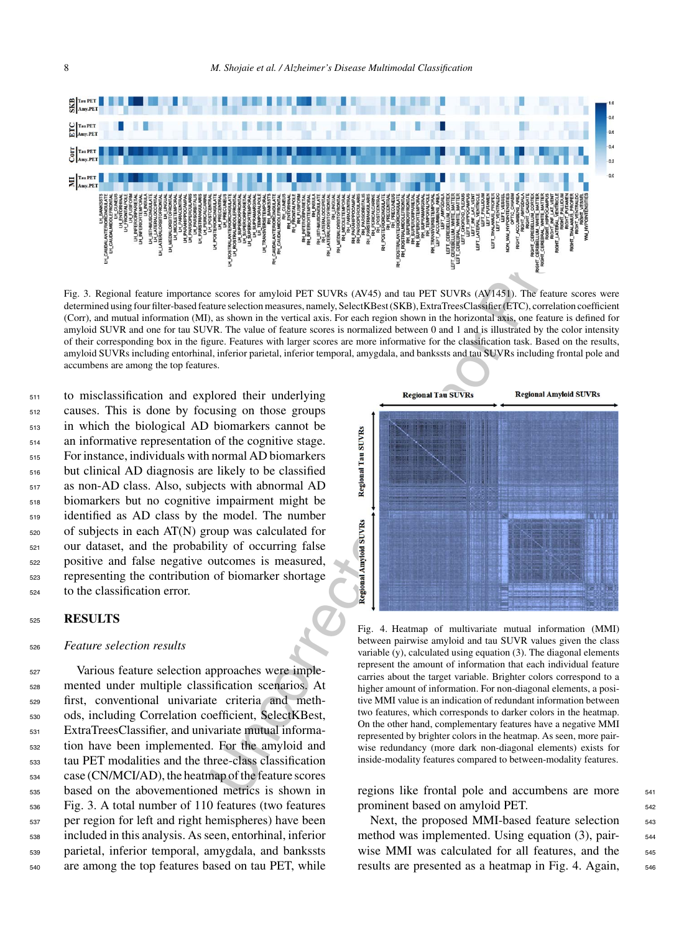

Fig. 3. Regional feature importance scores for amyloid PET SUVRs (AV45) and tau PET SUVRs (AV1451). The feature scores were determined using four filter-based feature selection measures, namely, SelectKBest (SKB), ExtraTreesClassifier (ETC), correlation coefficient (Corr), and mutual information (MI), as shown in the vertical axis. For each region shown in the horizontal axis, one feature is defined for amyloid SUVR and one for tau SUVR. The value of feature scores is normalized between 0 and 1 and is illustrated by the color intensity of their corresponding box in the figure. Features with larger scores are more informative for the classification task. Based on the results, amyloid SUVRs including entorhinal, inferior parietal, inferior temporal, amygdala, and bankssts and tau SUVRs including frontal pole and accumbens are among the top features.

 to misclassification and explored their underlying causes. This is done by focusing on those groups in which the biological AD biomarkers cannot be an informative representation of the cognitive stage. For instance, individuals with normal AD biomarkers but clinical AD diagnosis are likely to be classified as non-AD class. Also, subjects with abnormal AD biomarkers but no cognitive impairment might be identified as AD class by the model. The number of subjects in each AT(N) group was calculated for our dataset, and the probability of occurring false positive and false negative outcomes is measured, representing the contribution of biomarker shortage to the classification error.

# <sup>525</sup> **RESULTS**

## <sup>526</sup> *Feature selection results*

 Various feature selection approaches were imple- mented under multiple classification scenarios. At first, conventional univariate criteria and meth- ods, including Correlation coefficient, SelectKBest, ExtraTreesClassifier, and univariate mutual informa- tion have been implemented. For the amyloid and tau PET modalities and the three-class classification case (CN/MCI/AD), the heatmap of the feature scores based on the abovementioned metrics is shown in Fig. 3. A total number of 110 features (two features per region for left and right hemispheres) have been included in this analysis. As seen, entorhinal, inferior parietal, inferior temporal, amygdala, and bankssts are among the top features based on tau PET, while



Fig. 4. Heatmap of multivariate mutual information (MMI) between pairwise amyloid and tau SUVR values given the class variable (y), calculated using equation (3). The diagonal elements represent the amount of information that each individual feature carries about the target variable. Brighter colors correspond to a higher amount of information. For non-diagonal elements, a positive MMI value is an indication of redundant information between two features, which corresponds to darker colors in the heatmap. On the other hand, complementary features have a negative MMI represented by brighter colors in the heatmap. As seen, more pairwise redundancy (more dark non-diagonal elements) exists for inside-modality features compared to between-modality features.

regions like frontal pole and accumbens are more 541 prominent based on amyloid PET. 542

Next, the proposed MMI-based feature selection  $\frac{543}{2}$ method was implemented. Using equation (3), pair-<br><sub>544</sub> wise MMI was calculated for all features, and the 545 results are presented as a heatmap in Fig. 4. Again,  $\frac{546}{9}$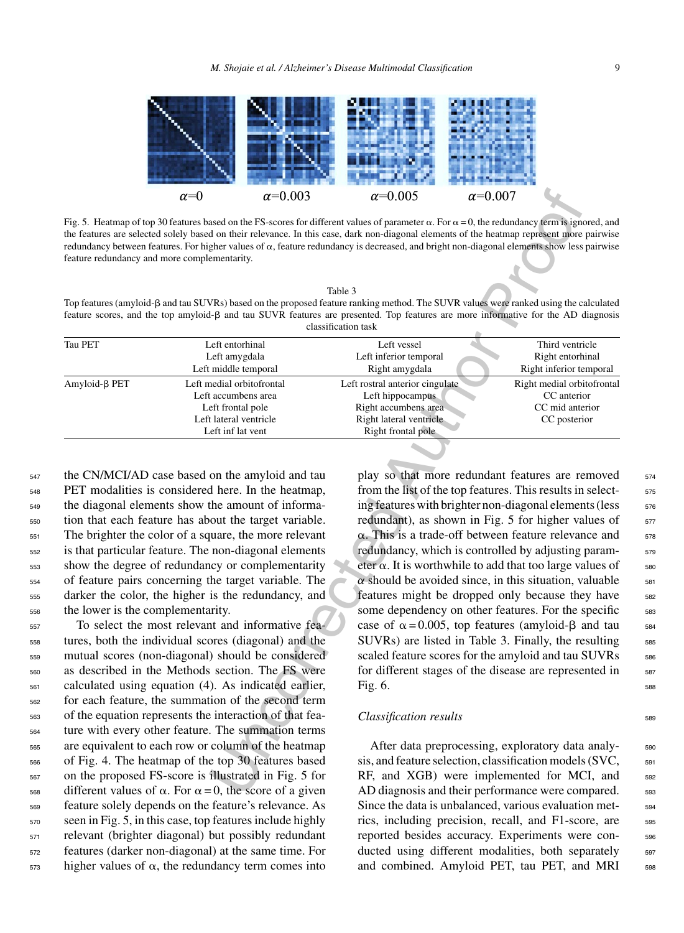

Fig. 5. Heatmap of top 30 features based on the FS-scores for different values of parameter  $\alpha$ . For  $\alpha = 0$ , the redundancy term is ignored, and the features are selected solely based on their relevance. In this case, dark non-diagonal elements of the heatmap represent more pairwise redundancy between features. For higher values of  $\alpha$ , feature redundancy is decreased, and bright non-diagonal elements show less pairwise feature redundancy and more complementarity.

Top features (amyloid- $\beta$  and tau SUVRs) based on the proposed feature ranking method. The SUVR values were ranked using the calculated feature scores, and the top amyloid- $\beta$  and tau SUVR features are presented. Top features are more informative for the AD diagnosis classification task

| Tau PET         | Left entorhinal           | Left vessel                     | Third ventricle            |
|-----------------|---------------------------|---------------------------------|----------------------------|
|                 | Left amygdala             | Left inferior temporal          | Right entorhinal           |
|                 | Left middle temporal      | Right amygdala                  | Right inferior temporal    |
| $Amyloid-B$ PET | Left medial orbitofrontal | Left rostral anterior cingulate | Right medial orbitofrontal |
|                 | Left accumbens area       | Left hippocampus                | CC anterior                |
|                 | Left frontal pole         | Right accumbens area            | CC mid anterior            |
|                 | Left lateral ventricle    | Right lateral ventricle         | CC posterior               |
|                 | Left inf lat vent         | Right frontal pole              |                            |
|                 |                           |                                 |                            |

<sup>547</sup> the CN/MCI/AD case based on the amyloid and tau PET modalities is considered here. In the heatmap, the diagonal elements show the amount of informa- tion that each feature has about the target variable. The brighter the color of a square, the more relevant is that particular feature. The non-diagonal elements show the degree of redundancy or complementarity of feature pairs concerning the target variable. The darker the color, the higher is the redundancy, and the lower is the complementarity. To select the most relevant and informative fea-

 tures, both the individual scores (diagonal) and the mutual scores (non-diagonal) should be considered as described in the Methods section. The FS were calculated using equation (4). As indicated earlier, for each feature, the summation of the second term of the equation represents the interaction of that fea- ture with every other feature. The summation terms are equivalent to each row or column of the heatmap of Fig. 4. The heatmap of the top 30 features based on the proposed FS-score is illustrated in Fig. 5 for  $_{568}$  different values of  $\alpha$ . For  $\alpha = 0$ , the score of a given feature solely depends on the feature's relevance. As seen in Fig. 5, in this case, top features include highly relevant (brighter diagonal) but possibly redundant features (darker non-diagonal) at the same time. For higher values of  $\alpha$ , the redundancy term comes into

 $\alpha=0.003$   $\alpha=0.005$   $\alpha=0.007$ <br>
asset on the FS-secone for different values of parameter  $\alpha$ . For a = 0, the redundancy ferm is just on the redundancy of parameter  $\alpha$ . For a can be redundancy in the parameter use the play so that more redundant features are removed  $574$ from the list of the top features. This results in selecting features with brighter non-diagonal elements (less  $576$ redundant), as shown in Fig. 5 for higher values of  $577$  $\alpha$ . This is a trade-off between feature relevance and  $\frac{578}{2}$ redundancy, which is controlled by adjusting parameter  $\alpha$ . It is worthwhile to add that too large values of  $\qquad$  580 *α* should be avoided since, in this situation, valuable  $\frac{581}{581}$  features might be dropped only because they have features might be dropped only because they have some dependency on other features. For the specific 583 case of  $\alpha = 0.005$ , top features (amyloid- $\beta$  and tau  $\frac{584}{2}$ SUVRs) are listed in Table 3. Finally, the resulting 585 scaled feature scores for the amyloid and tau SUVRs 586 for different stages of the disease are represented in Fig.  $6.$ 

## *Classification results* 589

After data preprocessing, exploratory data analy-<br>s<sub>90</sub> sis, and feature selection, classification models (SVC,  $\qquad$  591 RF, and XGB) were implemented for MCI, and 592 AD diagnosis and their performance were compared. 593 Since the data is unbalanced, various evaluation metrics, including precision, recall, and F1-score, are 595 reported besides accuracy. Experiments were conducted using different modalities, both separately 597 and combined. Amyloid PET, tau PET, and MRI 598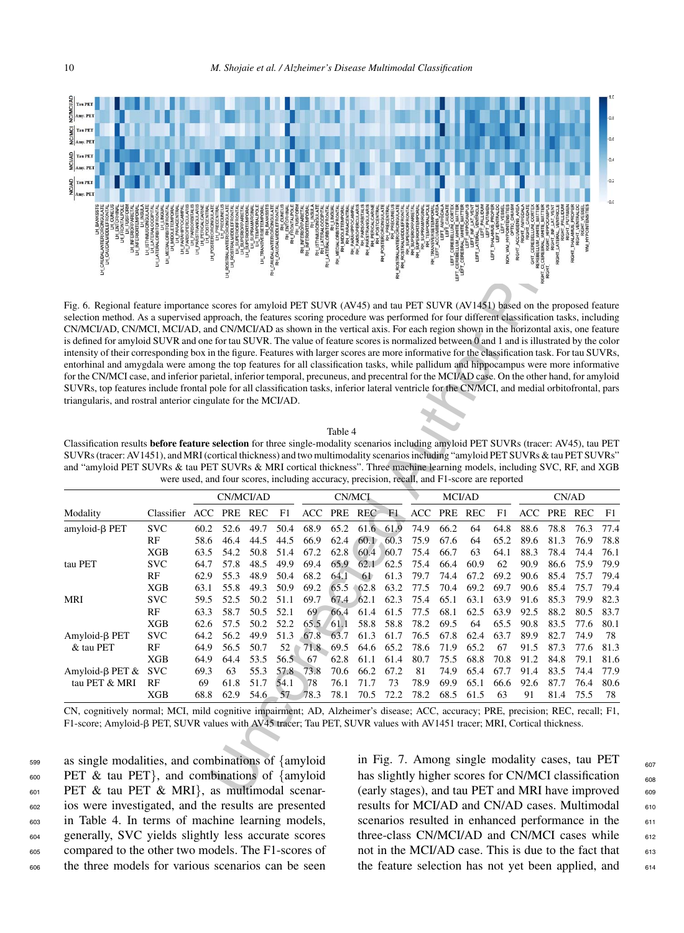

Fig. 6. Regional feature importance scores for amyloid PET SUVR (AV45) and tau PET SUVR (AV1451) based on the proposed feature selection method. As a supervised approach, the features scoring procedure was performed for four different classification tasks, including CN/MCI/AD, CN/MCI, MCI/AD, and CN/MCI/AD as shown in the vertical axis. For each region shown in the horizontal axis, one feature is defined for amyloid SUVR and one for tau SUVR. The value of feature scores is normalized between 0 and 1 and is illustrated by the color intensity of their corresponding box in the figure. Features with larger scores are more informative for the classification task. For tau SUVRs, entorhinal and amygdala were among the top features for all classification tasks, while pallidum and hippocampus were more informative for the CN/MCI case, and inferior parietal, inferior temporal, precuneus, and precentral for the MCI/AD case. On the other hand, for amyloid SUVRs, top features include frontal pole for all classification tasks, inferior lateral ventricle for the CN/MCI, and medial orbitofrontal, pars triangularis, and rostral anterior cingulate for the MCI/AD.

Classification results **before feature selection** for three single-modality scenarios including amyloid PET SUVRs (tracer: AV45), tau PET SUVRs (tracer: AV1451), and MRI (cortical thickness) and two multimodality scenarios including "amyloid PET SUVRs & tau PET SUVRs" and "amyloid PET SUVRs & tau PET SUVRs & MRI cortical thickness". Three machine learning models, including SVC, RF, and XGB were used, and four scores, including accuracy, precision, recall, and F1-score are reported

| $\mathbb{Z}_{\vert \text{Amy. PET}}$                                                                                                                                                                                                                                                                                                                                                                                                                                                                                                                                                                                                                                                                                                                                                                                                                                                                                                                                                                                                                                                                                                                                                                                                |                                                                                              |                      |                      |                          |                      |                                           |                      |                      |                                   |                      |                      |                      |                      |                                                                                                                                                              |                      |                      |                      |
|-------------------------------------------------------------------------------------------------------------------------------------------------------------------------------------------------------------------------------------------------------------------------------------------------------------------------------------------------------------------------------------------------------------------------------------------------------------------------------------------------------------------------------------------------------------------------------------------------------------------------------------------------------------------------------------------------------------------------------------------------------------------------------------------------------------------------------------------------------------------------------------------------------------------------------------------------------------------------------------------------------------------------------------------------------------------------------------------------------------------------------------------------------------------------------------------------------------------------------------|----------------------------------------------------------------------------------------------|----------------------|----------------------|--------------------------|----------------------|-------------------------------------------|----------------------|----------------------|-----------------------------------|----------------------|----------------------|----------------------|----------------------|--------------------------------------------------------------------------------------------------------------------------------------------------------------|----------------------|----------------------|----------------------|
|                                                                                                                                                                                                                                                                                                                                                                                                                                                                                                                                                                                                                                                                                                                                                                                                                                                                                                                                                                                                                                                                                                                                                                                                                                     |                                                                                              |                      |                      | LH_TRANS\                |                      | <b>RH_ISTHML</b><br>RH_LATEF<br>LATERALOR |                      | 臣                    |                                   |                      |                      |                      |                      |                                                                                                                                                              |                      |                      |                      |
| Fig. 6. Regional feature importance scores for amyloid PET SUVR (AV45) and tau PET SUVR (AV1451) based on the proposed feature<br>selection method. As a supervised approach, the features scoring procedure was performed for four different classification tasks, including<br>CN/MCI/AD, CN/MCI, MCI/AD, and CN/MCI/AD as shown in the vertical axis. For each region shown in the horizontal axis, one feature<br>is defined for amyloid SUVR and one for tau SUVR. The value of feature scores is normalized between 0 and 1 and is illustrated by the color<br>intensity of their corresponding box in the figure. Features with larger scores are more informative for the classification task. For tau SUVRs,<br>entorhinal and amygdala were among the top features for all classification tasks, while pallidum and hippocampus were more informative<br>for the CN/MCI case, and inferior parietal, inferior temporal, precuneus, and precentral for the MCI/AD case. On the other hand, for amyloid<br>SUVRs, top features include frontal pole for all classification tasks, inferior lateral ventricle for the CN/MCI, and medial orbitofrontal, pars<br>triangularis, and rostral anterior cingulate for the MCI/AD. |                                                                                              |                      |                      |                          |                      |                                           | Table 4              |                      |                                   |                      |                      |                      |                      |                                                                                                                                                              |                      |                      |                      |
| Classification results before feature selection for three single-modality scenarios including amyloid PET SUVRs (tracer: AV45), tau PET<br>SUVRs (tracer: AV1451), and MRI (cortical thickness) and two multimodality scenarios including "amyloid PET SUVRs & tau PET SUVRs"<br>and "amyloid PET SUVRs & tau PET SUVRs & MRI cortical thickness". Three machine learning models, including SVC, RF, and XGB                                                                                                                                                                                                                                                                                                                                                                                                                                                                                                                                                                                                                                                                                                                                                                                                                        | were used, and four scores, including accuracy, precision, recall, and F1-score are reported |                      |                      |                          |                      |                                           |                      |                      |                                   |                      |                      |                      |                      |                                                                                                                                                              |                      |                      |                      |
|                                                                                                                                                                                                                                                                                                                                                                                                                                                                                                                                                                                                                                                                                                                                                                                                                                                                                                                                                                                                                                                                                                                                                                                                                                     |                                                                                              |                      |                      | CN/MCI/AD                |                      |                                           |                      | CN/MCI               |                                   |                      | MCI/AD               |                      |                      |                                                                                                                                                              | CN/AD                |                      |                      |
| Modality                                                                                                                                                                                                                                                                                                                                                                                                                                                                                                                                                                                                                                                                                                                                                                                                                                                                                                                                                                                                                                                                                                                                                                                                                            | Classifier                                                                                   | ACC                  | PRE REC              |                          | F1                   | ACC                                       |                      | PRE REC              | F1                                |                      | ACC PRE REC          |                      | F1                   |                                                                                                                                                              | ACC PRE REC          |                      | F1                   |
| amyloid- $\beta$ PET                                                                                                                                                                                                                                                                                                                                                                                                                                                                                                                                                                                                                                                                                                                                                                                                                                                                                                                                                                                                                                                                                                                                                                                                                | <b>SVC</b><br>RF<br><b>XGB</b>                                                               | 60.2<br>58.6<br>63.5 | 52.6<br>46.4<br>54.2 | 49.7<br>44.5<br>50.8     | 50.4<br>44.5<br>51.4 | 68.9<br>66.9<br>67.2                      | 65.2<br>62.4<br>62.8 | 61.6<br>60.1<br>60.4 | 61.9<br>60.3<br>60.7              | 74.9<br>75.9<br>75.4 | 66.2<br>67.6<br>66.7 | 64<br>64<br>63       | 64.8<br>65.2<br>64.1 | 88.6<br>89.6<br>88.3                                                                                                                                         | 78.8<br>81.3<br>78.4 | 76.3<br>76.9<br>74.4 | 77.4<br>78.8<br>76.1 |
| tau PET                                                                                                                                                                                                                                                                                                                                                                                                                                                                                                                                                                                                                                                                                                                                                                                                                                                                                                                                                                                                                                                                                                                                                                                                                             | <b>SVC</b><br>RF<br>XGB                                                                      | 64.7<br>62.9<br>63.1 | 57.8<br>55.3<br>55.8 | 48.5<br>48.9<br>49.3     | 49.9<br>50.4<br>50.9 | 69.4<br>68.2<br>69.2                      | 65.9<br>64.1<br>65.5 | 61<br>62.8           | $62.1 \quad 62.5$<br>61.3<br>63.2 | 75.4<br>79.7<br>77.5 | 66.4<br>74.4<br>70.4 | 60.9<br>67.2<br>69.2 | 62<br>69.2<br>69.7   | 90.9<br>90.6<br>90.6                                                                                                                                         | 86.6<br>85.4<br>85.4 | 75.9<br>75.7<br>75.7 | 79.9<br>79.4<br>79.4 |
| MRI                                                                                                                                                                                                                                                                                                                                                                                                                                                                                                                                                                                                                                                                                                                                                                                                                                                                                                                                                                                                                                                                                                                                                                                                                                 | <b>SVC</b><br>RF<br>XGB                                                                      | 59.5<br>63.3<br>62.6 | 52.5<br>58.7<br>57.5 | 50.2<br>50.5<br>50.2     | 51.1<br>52.1<br>52.2 | 69.7<br>69<br>65.5                        | 67.4<br>66.4<br>61.1 | 62.1<br>61.4<br>58.8 | 62.3<br>61.5<br>58.8              | 75.4<br>77.5<br>78.2 | 65.1<br>68.1<br>69.5 | 63.1<br>62.5<br>64   | 63.9<br>63.9<br>65.5 | 91.6<br>92.5<br>90.8                                                                                                                                         | 85.3<br>88.2<br>83.5 | 79.9<br>80.5<br>77.6 | 82.3<br>83.7<br>80.1 |
| $Amyloid-B$ PET<br>& tau PET                                                                                                                                                                                                                                                                                                                                                                                                                                                                                                                                                                                                                                                                                                                                                                                                                                                                                                                                                                                                                                                                                                                                                                                                        | <b>SVC</b><br>RF<br>XGB                                                                      | 64.2<br>64.9<br>64.9 | 56.2<br>56.5<br>64.4 | 49.9<br>50.7<br>53.5     | 51.3<br>52<br>56.5   | 67.8<br>71.8<br>67                        | 63.7<br>69.5<br>62.8 | 61.3<br>64.6<br>61.1 | 61.7<br>65.2<br>61.4              | 76.5<br>78.6<br>80.7 | 67.8<br>71.9<br>75.5 | 62.4<br>65.2<br>68.8 | 63.7<br>67<br>70.8   | 89.9<br>91.5<br>91.2                                                                                                                                         | 82.7<br>87.3<br>84.8 | 74.9<br>77.6<br>79.1 | 78<br>81.3<br>81.6   |
| Amyloid-β PET $&$<br>tau PET & MRI                                                                                                                                                                                                                                                                                                                                                                                                                                                                                                                                                                                                                                                                                                                                                                                                                                                                                                                                                                                                                                                                                                                                                                                                  | <b>SVC</b><br>RF<br><b>XGB</b>                                                               | 69.3<br>69<br>68.8   | 63<br>61.8<br>62.9   | 55.3<br>51.7<br>$54.6 -$ | 57.8<br>54.1<br>57   | 73.8<br>78<br>78.3                        | 70.6<br>76.1<br>78.1 | 66.2<br>71.7<br>70.5 | 67.2<br>73<br>72.2                | 81<br>78.9<br>78.2   | 74.9<br>69.9<br>68.5 | 65.4<br>65.1<br>61.5 | 67.7<br>66.6<br>63   | 91.4<br>92.6<br>91                                                                                                                                           | 83.5<br>87.7<br>81.4 | 74.4<br>76.4<br>75.5 | 77.9<br>80.6<br>78   |
| CN, cognitively normal; MCI, mild cognitive impairment; AD, Alzheimer's disease; ACC, accuracy; PRE, precision; REC, recall; F1,<br>F1-score; Amyloid-β PET, SUVR values with AV45 tracer; Tau PET, SUVR values with AV1451 tracer; MRI, Cortical thickness.                                                                                                                                                                                                                                                                                                                                                                                                                                                                                                                                                                                                                                                                                                                                                                                                                                                                                                                                                                        |                                                                                              |                      |                      |                          |                      |                                           |                      |                      |                                   |                      |                      |                      |                      |                                                                                                                                                              |                      |                      |                      |
| as single modalities, and combinations of $\{$ amyloid<br>PET $\&$ tau PET}, and combinations of {amyloid}<br>PET & tau PET & MRI}, as multimodal scenar-                                                                                                                                                                                                                                                                                                                                                                                                                                                                                                                                                                                                                                                                                                                                                                                                                                                                                                                                                                                                                                                                           |                                                                                              |                      |                      |                          |                      |                                           |                      |                      |                                   |                      |                      |                      |                      | in Fig. 7. Among single modality cases, tau PET<br>has slightly higher scores for CN/MCI classification<br>(early stages), and tau PET and MRI have improved |                      |                      |                      |

 as single modalities, and combinations of {amyloid PET & tau PET}, and combinations of {amyloid PET & tau PET & MRI}, as multimodal scenar- ios were investigated, and the results are presented in Table 4. In terms of machine learning models, generally, SVC yields slightly less accurate scores compared to the other two models. The F1-scores of the three models for various scenarios can be seen

in Fig. 7. Among single modality cases, tau PET  $_{607}$ has slightly higher scores for CN/MCI classification  $\frac{1}{608}$ (early stages), and tau PET and MRI have improved  $608$ results for MCI/AD and CN/AD cases. Multimodal 610 scenarios resulted in enhanced performance in the 611 three-class CN/MCI/AD and CN/MCI cases while  $_{612}$ not in the MCI/AD case. This is due to the fact that 613 the feature selection has not yet been applied, and  $614$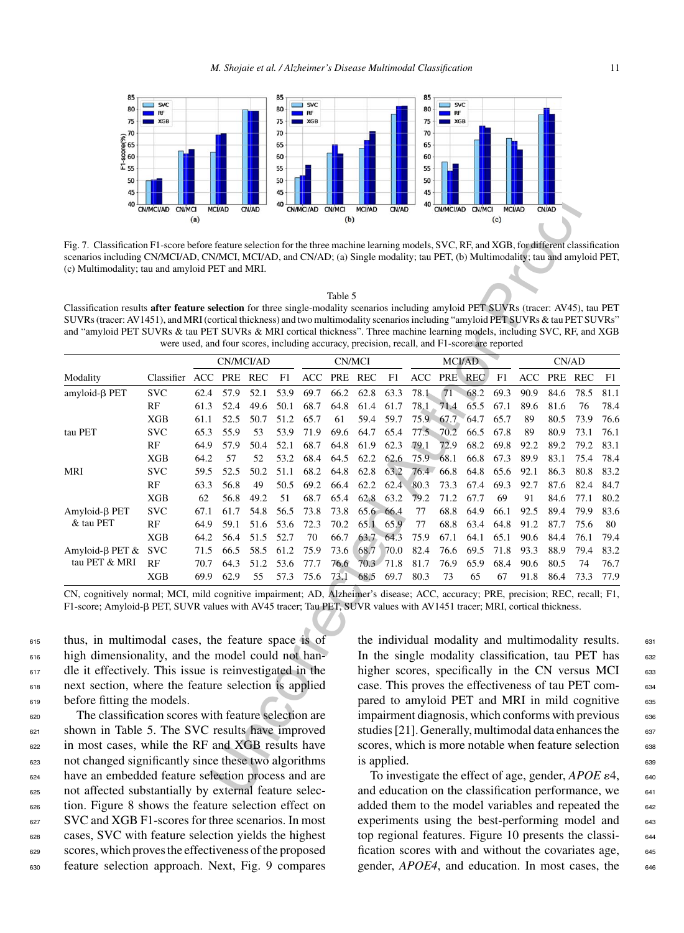

Fig. 7. Classification F1-score before feature selection for the three machine learning models, SVC, RF, and XGB, for different classification scenarios including CN/MCI/AD, CN/MCI, MCI/AD, and CN/AD; (a) Single modality; tau PET, (b) Multimodality; tau and amyloid PET, (c) Multimodality; tau and amyloid PET and MRI.

|--|

Classification results **after feature selection** for three single-modality scenarios including amyloid PET SUVRs (tracer: AV45), tau PET SUVRs (tracer: AV1451), and MRI (cortical thickness) and two multimodality scenarios including "amyloid PET SUVRs & tau PET SUVRs" and "amyloid PET SUVRs & tau PET SUVRs & MRI cortical thickness". Three machine learning models, including SVC, RF, and XGB were used, and four scores, including accuracy, precision, recall, and F1-score are reported

| 45<br>40                                                                                                                                                                                                                                                          |                                                                                              |              |               |              | 45<br>40     |            |               |                                                     |              | 45<br>40   |              |               |              |               |              |                                                                  |            |
|-------------------------------------------------------------------------------------------------------------------------------------------------------------------------------------------------------------------------------------------------------------------|----------------------------------------------------------------------------------------------|--------------|---------------|--------------|--------------|------------|---------------|-----------------------------------------------------|--------------|------------|--------------|---------------|--------------|---------------|--------------|------------------------------------------------------------------|------------|
|                                                                                                                                                                                                                                                                   | CN/MCI/AD CN/MCI                                                                             |              | <b>MCI/AD</b> | CN/AD        |              | CN/MCI/AD  | <b>CN/MCI</b> | <b>MCI/AD</b>                                       | CN/AD        |            | CN/MCI/AD    | <b>CN/MCI</b> |              | <b>MCI/AD</b> | CN/AD        |                                                                  |            |
|                                                                                                                                                                                                                                                                   |                                                                                              | (a)          |               |              |              |            | (b)           |                                                     |              |            |              |               | (c)          |               |              |                                                                  |            |
| Fig. 7. Classification F1-score before feature selection for the three machine learning models, SVC, RF, and XGB, for different classification                                                                                                                    |                                                                                              |              |               |              |              |            |               |                                                     |              |            |              |               |              |               |              |                                                                  |            |
| scenarios including CN/MCI/AD, CN/MCI, MCI/AD, and CN/AD; (a) Single modality; tau PET, (b) Multimodality; tau and amyloid PET,                                                                                                                                   |                                                                                              |              |               |              |              |            |               |                                                     |              |            |              |               |              |               |              |                                                                  |            |
| (c) Multimodality; tau and amyloid PET and MRI.                                                                                                                                                                                                                   |                                                                                              |              |               |              |              |            |               |                                                     |              |            |              |               |              |               |              |                                                                  |            |
|                                                                                                                                                                                                                                                                   |                                                                                              |              |               |              |              |            |               |                                                     |              |            |              |               |              |               |              |                                                                  |            |
|                                                                                                                                                                                                                                                                   |                                                                                              |              |               |              |              |            | Table 5       |                                                     |              |            |              |               |              |               |              |                                                                  |            |
| Classification results after feature selection for three single-modality scenarios including amyloid PET SUVRs (tracer: AV45), tau PET                                                                                                                            |                                                                                              |              |               |              |              |            |               |                                                     |              |            |              |               |              |               |              |                                                                  |            |
| SUVRs (tracer: AV1451), and MRI (cortical thickness) and two multimodality scenarios including "amyloid PET SUVRs & tau PET SUVRs"<br>and "amyloid PET SUVRs & tau PET SUVRs & MRI cortical thickness". Three machine learning models, including SVC, RF, and XGB |                                                                                              |              |               |              |              |            |               |                                                     |              |            |              |               |              |               |              |                                                                  |            |
|                                                                                                                                                                                                                                                                   | were used, and four scores, including accuracy, precision, recall, and F1-score are reported |              |               |              |              |            |               |                                                     |              |            |              |               |              |               |              |                                                                  |            |
|                                                                                                                                                                                                                                                                   |                                                                                              |              |               | CN/MCI/AD    |              |            |               | CN/MCI                                              |              |            |              | <b>MCI/AD</b> |              |               |              | CN/AD                                                            |            |
| Modality                                                                                                                                                                                                                                                          | Classifier                                                                                   | ACC          | PRE REC       |              | F1           | ACC        |               | PRE REC                                             | F1           | ACC        | <b>PRE</b>   | REC           | F1           | ACC           |              | PRE REC                                                          | F1         |
| amyloid-β PET                                                                                                                                                                                                                                                     | <b>SVC</b>                                                                                   | 62.4         | 57.9          | 52.1         | 53.9         | 69.7       | 66.2          | 62.8                                                | 63.3         | 78.1       | 71           | 68.2          | 69.3         | 90.9          | 84.6         | 78.5                                                             | 81.1       |
|                                                                                                                                                                                                                                                                   | RF                                                                                           | 61.3         | 52.4          | 49.6         | 50.1         | 68.7       | 64.8          | 61.4                                                | 61.7         | 78.1       | 71.4         | 65.5          | 67.1         | 89.6          | 81.6         | 76                                                               | 78.4       |
|                                                                                                                                                                                                                                                                   | XGB                                                                                          | 61.1         | 52.5          | 50.7         | 51.2         | 65.7       | 61            | 59.4                                                | 59.7         | 75.9       | 67.7         | 64.7          | 65.7         | 89            | 80.5         | 73.9                                                             | 76.6       |
| tau PET                                                                                                                                                                                                                                                           | <b>SVC</b>                                                                                   | 65.3         | 55.9          | 53           | 53.9         | 71.9       | 69.6          | 64.7                                                | 65.4         | 77.5       | 70.2         | 66.5          | 67.8         | 89            | 80.9         | 73.1                                                             | 76.1       |
|                                                                                                                                                                                                                                                                   | RF                                                                                           | 64.9         | 57.9          | 50.4         | 52.1         | 68.7       | 64.8          | 61.9                                                | 62.3         | 79.1       | 72.9         | 68.2          | 69.8         | 92.2          | 89.2         | 79.2                                                             | 83.1       |
|                                                                                                                                                                                                                                                                   | XGB                                                                                          | 64.2         | 57            | 52           | 53.2         | 68.4       | 64.5          | 62.2                                                | 62.6         | $75.9 -$   | 68.1         | 66.8          | 67.3         | 89.9          | 83.1         | 75.4                                                             | 78.4       |
| MRI                                                                                                                                                                                                                                                               | <b>SVC</b>                                                                                   | 59.5         | 52.5          | 50.2         | 51.1         | 68.2       | 64.8          | 62.8                                                | 63.2         | 76.4       | 66.8         | 64.8          | 65.6         | 92.1          | 86.3         | 80.8                                                             | 83.2       |
|                                                                                                                                                                                                                                                                   | RF                                                                                           | 63.3         | 56.8          | 49           | 50.5         | 69.2       | 66.4          | 62.2                                                | 62.4         | 80.3       | 73.3         | 67.4          | 69.3         | 92.7          | 87.6         | 82.4                                                             | 84.7       |
|                                                                                                                                                                                                                                                                   | XGB                                                                                          | 62           | 56.8          | 49.2         | 51           | 68.7       | 65.4          | 62.8                                                | 63.2         | 79.2       | 71.2         | 67.7          | 69           | 91            | 84.6         | 77.1                                                             | 80.2       |
| Amyloid-β PET<br>& tau PET                                                                                                                                                                                                                                        | <b>SVC</b>                                                                                   | 67.1         | 61.7          | 54.8         | 56.5         | 73.8       | 73.8          |                                                     | 65.6 66.4    | 77         | 68.8         | 64.9          | 66.1         | 92.5          | 89.4         | 79.9                                                             | 83.6       |
|                                                                                                                                                                                                                                                                   | RF<br>XGB                                                                                    | 64.9<br>64.2 | 59.1<br>56.4  | 51.6<br>51.5 | 53.6<br>52.7 | 72.3<br>70 | 70.2<br>66.7  | 65.1<br>63.7                                        | 65.9<br>64.3 | 77<br>75.9 | 68.8<br>67.1 | 63.4<br>64.1  | 64.8<br>65.1 | 91.2<br>90.6  | 87.7<br>84.4 | 75.6<br>76.1                                                     | 80<br>79.4 |
| Amyloid-β PET $&$                                                                                                                                                                                                                                                 | <b>SVC</b>                                                                                   | 71.5         | 66.5          | 58.5         | 61.2         | 75.9       | 73.6          | 68.7                                                | 70.0         | 82.4       | 76.6         | 69.5          | 71.8         | 93.3          | 88.9         | 79.4                                                             | 83.2       |
| tau PET & MRI                                                                                                                                                                                                                                                     | RF                                                                                           | 70.7         | 64.3          | 51.2         | 53.6         | 77.7       | 76.6          |                                                     | 70.3 71.8    | 81.7       | 76.9         | 65.9          | 68.4         | 90.6          | 80.5         | 74                                                               | 76.7       |
|                                                                                                                                                                                                                                                                   | XGB                                                                                          | 69.9         | 62.9          | 55           | 57.3         | 75.6       | 73.1          | 68.5                                                | 69.7         | 80.3       | 73           | 65            | 67           | 91.8          | 86.4         | 73.3                                                             | 77.9       |
| CN, cognitively normal; MCI, mild cognitive impairment; AD, Alzheimer's disease; ACC, accuracy; PRE, precision; REC, recall; F1,                                                                                                                                  |                                                                                              |              |               |              |              |            |               |                                                     |              |            |              |               |              |               |              |                                                                  |            |
| F1-score; Amyloid-β PET, SUVR values with AV45 tracer; Tau PET, SUVR values with AV1451 tracer; MRI, cortical thickness.                                                                                                                                          |                                                                                              |              |               |              |              |            |               |                                                     |              |            |              |               |              |               |              |                                                                  |            |
|                                                                                                                                                                                                                                                                   |                                                                                              |              |               |              |              |            |               |                                                     |              |            |              |               |              |               |              |                                                                  |            |
| thus, in multimodal cases, the feature space is of                                                                                                                                                                                                                |                                                                                              |              |               |              |              |            |               |                                                     |              |            |              |               |              |               |              | the individual modality and multimodality results.               |            |
| high dimensionality, and the model could not han-                                                                                                                                                                                                                 |                                                                                              |              |               |              |              |            |               |                                                     |              |            |              |               |              |               |              | In the single modality classification, tau PET has               |            |
| dle it effectively. This issue is reinvestigated in the                                                                                                                                                                                                           |                                                                                              |              |               |              |              |            |               |                                                     |              |            |              |               |              |               |              | higher scores, specifically in the CN versus MCI                 |            |
| next section, where the feature selection is applied                                                                                                                                                                                                              |                                                                                              |              |               |              |              |            |               |                                                     |              |            |              |               |              |               |              | case. This proves the effectiveness of tau PET com-              |            |
| before fitting the models.                                                                                                                                                                                                                                        |                                                                                              |              |               |              |              |            |               |                                                     |              |            |              |               |              |               |              | pared to amyloid PET and MRI in mild cognitive                   |            |
| The classification scores with feature selection are                                                                                                                                                                                                              |                                                                                              |              |               |              |              |            |               |                                                     |              |            |              |               |              |               |              | impairment diagnosis, which conforms with previous               |            |
| shown in Table 5. The SVC results have improved                                                                                                                                                                                                                   |                                                                                              |              |               |              |              |            |               |                                                     |              |            |              |               |              |               |              | studies [21]. Generally, multimodal data enhances the            |            |
| in most cases, while the RF and XGB results have                                                                                                                                                                                                                  |                                                                                              |              |               |              |              |            |               |                                                     |              |            |              |               |              |               |              |                                                                  |            |
|                                                                                                                                                                                                                                                                   |                                                                                              |              |               |              |              |            |               |                                                     |              |            |              |               |              |               |              | scores, which is more notable when feature selection             |            |
| not changed significantly since these two algorithms                                                                                                                                                                                                              |                                                                                              |              |               |              |              |            |               |                                                     | is applied.  |            |              |               |              |               |              |                                                                  |            |
| have an embedded feature selection process and are                                                                                                                                                                                                                |                                                                                              |              |               |              |              |            |               |                                                     |              |            |              |               |              |               |              | To investigate the effect of age, gender, $APOE \varepsilon 4$ , |            |
| not affected substantially by external feature selec-                                                                                                                                                                                                             |                                                                                              |              |               |              |              |            |               | and education on the classification performance, we |              |            |              |               |              |               |              |                                                                  |            |

 thus, in multimodal cases, the feature space is of high dimensionality, and the model could not han-<sup>617</sup> dle it effectively. This issue is reinvestigated in the next section, where the feature selection is applied before fitting the models.

 The classification scores with feature selection are shown in Table 5. The SVC results have improved in most cases, while the RF and XGB results have not changed significantly since these two algorithms have an embedded feature selection process and are not affected substantially by external feature selec- tion. Figure 8 shows the feature selection effect on SVC and XGB F1-scores for three scenarios. In most cases, SVC with feature selection yields the highest scores, which proves the effectiveness of the proposed feature selection approach. Next, Fig. 9 compares

the individual modality and multimodality results.  $631$ In the single modality classification, tau PET has  $632$ higher scores, specifically in the CN versus MCI  $_{633}$ case. This proves the effectiveness of tau PET com- <sup>634</sup> pared to amyloid PET and MRI in mild cognitive 635  $impairment \, diagnosis, which \, conforms \, with \, previous \,$ studies [21]. Generally, multimodal data enhances the  $637$ scores, which is more notable when feature selection 638  $\frac{1}{2}$  is applied.

To investigate the effect of age, gender,  $APOE \varepsilon 4$ , 640 and education on the classification performance, we  $\frac{641}{641}$ added them to the model variables and repeated the 642 experiments using the best-performing model and 643 top regional features. Figure 10 presents the classi- <sup>644</sup> fication scores with and without the covariates age, 645 gender, *APOE4*, and education. In most cases, the 646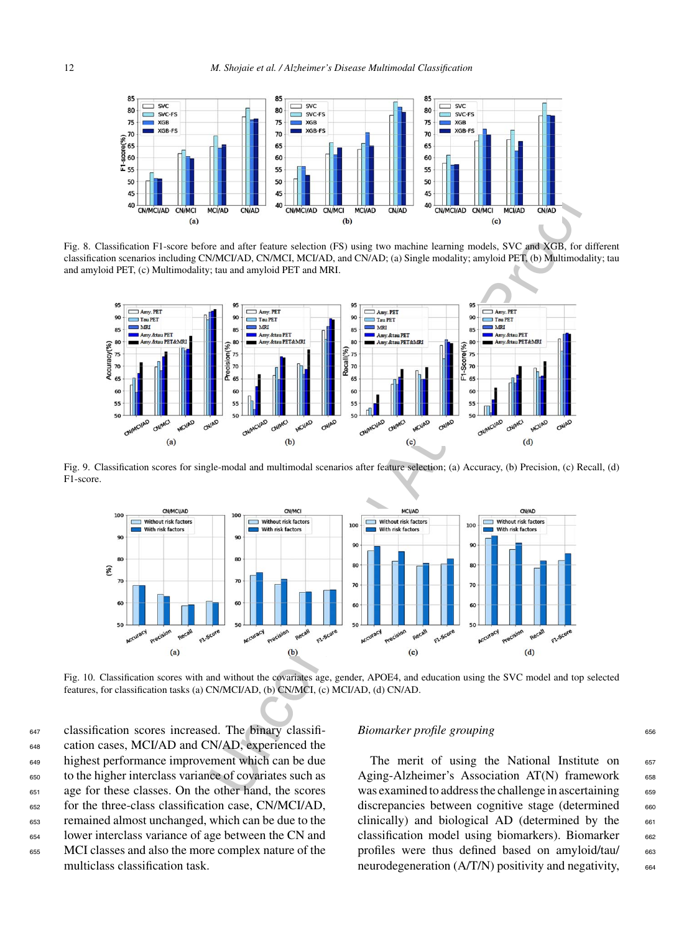

Fig. 8. Classification F1-score before and after feature selection (FS) using two machine learning models, SVC and XGB, for different classification scenarios including CN/MCI/AD, CN/MCI, MCI/AD, and CN/AD; (a) Single modality; amyloid PET, (b) Multimodality; tau and amyloid PET, (c) Multimodality; tau and amyloid PET and MRI.



Fig. 9. Classification scores for single-modal and multimodal scenarios after feature selection; (a) Accuracy, (b) Precision, (c) Recall, (d) F1-score.



Fig. 10. Classification scores with and without the covariates age, gender, APOE4, and education using the SVC model and top selected features, for classification tasks (a) CN/MCI/AD, (b) CN/MCI, (c) MCI/AD, (d) CN/AD.

 classification scores increased. The binary classifi- cation cases, MCI/AD and CN/AD, experienced the highest performance improvement which can be due to the higher interclass variance of covariates such as age for these classes. On the other hand, the scores for the three-class classification case, CN/MCI/AD, remained almost unchanged, which can be due to the lower interclass variance of age between the CN and MCI classes and also the more complex nature of the multiclass classification task.

## *Biomarker profile grouping* 656

The merit of using the National Institute on  $657$ Aging-Alzheimer's Association  $AT(N)$  framework 658 was examined to address the challenge in ascertaining 659 discrepancies between cognitive stage (determined 660 clinically) and biological AD (determined by the  $661$ classification model using biomarkers). Biomarker 662 profiles were thus defined based on amyloid/tau/ 663 neurodegeneration  $(A/T/N)$  positivity and negativity,  $664$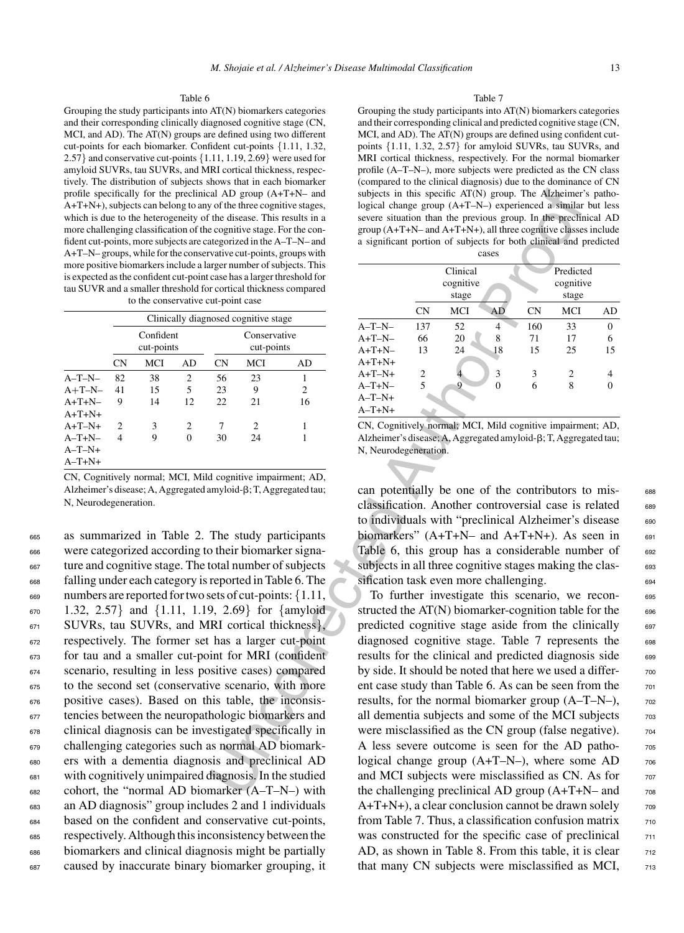Grouping the study participants into AT(N) biomarkers categories and their corresponding clinically diagnosed cognitive stage (CN, MCI, and AD). The AT(N) groups are defined using two different cut-points for each biomarker. Confident cut-points {1.11, 1.32, 2.57} and conservative cut-points {1.11, 1.19, 2.69} were used for amyloid SUVRs, tau SUVRs, and MRI cortical thickness, respectively. The distribution of subjects shows that in each biomarker profile specifically for the preclinical AD group (A+T+N– and A+T+N+), subjects can belong to any of the three cognitive stages, which is due to the heterogeneity of the disease. This results in a more challenging classification of the cognitive stage. For the confident cut-points, more subjects are categorized in the A–T–N– and A+T–N– groups, while for the conservative cut-points, groups with more positive biomarkers include a larger number of subjects. This is expected as the confident cut-point case has a larger threshold for tau SUVR and a smaller threshold for cortical thickness compared to the conservative cut-point case

|                      |                |                         |    |                            | Clinically diagnosed cognitive stage |    |  |  |  |
|----------------------|----------------|-------------------------|----|----------------------------|--------------------------------------|----|--|--|--|
|                      |                | Confident<br>cut-points |    | Conservative<br>cut-points |                                      |    |  |  |  |
|                      | <b>CN</b>      | MCI                     | AD | <b>CN</b>                  | MCI                                  | AD |  |  |  |
| $A-T-N-$             | 82             | 38                      | 2  | 56                         | 23                                   |    |  |  |  |
| $A+T-N-$             | 41             | 15                      | 5  | 23                         | 9                                    | 2  |  |  |  |
| $A+T+N-$<br>$A+T+N+$ | 9              | 14                      | 12 | 22                         | 21                                   | 16 |  |  |  |
| $A+T-N+$             | $\mathfrak{D}$ | 3                       | 2  | 7                          | $\mathfrak{D}$                       |    |  |  |  |
| $A-T+N-$             | 4              | 9                       | 0  | 30                         | 24                                   |    |  |  |  |
| $A-T-N+$             |                |                         |    |                            |                                      |    |  |  |  |
| $A-T+N+$             |                |                         |    |                            |                                      |    |  |  |  |

CN, Cognitively normal; MCI, Mild cognitive impairment; AD, Alzheimer's disease; A, Aggregated amyloid- $\beta$ ; T, Aggregated tau; N, Neurodegeneration.

 as summarized in Table 2. The study participants were categorized according to their biomarker signa- ture and cognitive stage. The total number of subjects falling under each category is reported in Table 6. The numbers are reported for two sets of cut-points: {1.11, 1.32, 2.57} and  $\{1.11, 1.19, 2.69\}$  for  $\{\text{amyloid}$ <sup>671</sup> SUVRs, tau SUVRs, and MRI cortical thickness }, respectively. The former set has a larger cut-point for tau and a smaller cut-point for MRI (confident scenario, resulting in less positive cases) compared to the second set (conservative scenario, with more positive cases). Based on this table, the inconsis-<sup>677</sup> tencies between the neuropathologic biomarkers and clinical diagnosis can be investigated specifically in challenging categories such as normal AD biomark- ers with a dementia diagnosis and preclinical AD with cognitively unimpaired diagnosis. In the studied cohort, the "normal AD biomarker (A–T–N–) with an AD diagnosis" group includes 2 and 1 individuals based on the confident and conservative cut-points, respectively. Although this inconsistency between the biomarkers and clinical diagnosis might be partially caused by inaccurate binary biomarker grouping, it

#### Table 7

Grouping the study participants into AT(N) biomarkers categories and their corresponding clinical and predicted cognitive stage (CN, MCI, and AD). The AT(N) groups are defined using confident cutpoints {1.11, 1.32, 2.57} for amyloid SUVRs, tau SUVRs, and MRI cortical thickness, respectively. For the normal biomarker profile (A–T–N–), more subjects were predicted as the CN class (compared to the clinical diagnosis) due to the dominance of CN subjects in this specific AT(N) group. The Alzheimer's pathological change group (A+T–N–) experienced a similar but less severe situation than the previous group. In the preclinical AD group (A+T+N– and A+T+N+), all three cognitive classes include a significant portion of subjects for both clinical and predicted cases

|          |           | Clinical<br>cognitive<br>stage |    |           | Predicted<br>cognitive<br>stage |                |
|----------|-----------|--------------------------------|----|-----------|---------------------------------|----------------|
|          | <b>CN</b> | MCI                            | AD | <b>CN</b> | MCI                             | AD             |
| $A-T-N-$ | 137       | 52                             | 4  | 160       | 33                              | $\overline{0}$ |
| $A+T-N-$ | 66        | 20                             | 8  | 71        | 17                              | 6              |
| $A+T+N-$ | 13        | 24                             | 18 | 15        | 25                              | 15             |
| $A+T+N+$ |           |                                |    |           |                                 |                |
| $A+T-N+$ | 2         |                                | 3  | 3         | $\overline{c}$                  | 4              |
| $A-T+N-$ | 5         | 9                              | 0  | 6         | 8                               |                |
| $A-T-N+$ |           |                                |    |           |                                 |                |
| $A-T+N+$ |           |                                |    |           |                                 |                |

CN, Cognitively normal; MCI, Mild cognitive impairment; AD, Alzheimer's disease; A, Aggregated amyloid- $\beta$ ; T, Aggregated tau; N, Neurodegeneration.

can potentially be one of the contributors to misclassification. Another controversial case is related 689 to individuals with "preclinical Alzheimer's disease 690 biomarkers"  $(A+T+N-$  and  $A+T+N+$ ). As seen in 691 Table 6, this group has a considerable number of  $692$ subjects in all three cognitive stages making the classification task even more challenging.

al AD groups (At-T+N- and A+FT+s)<br>
and AD groups (At-T-N-s) assigned Author (ATC) are all and provide the distance continues ages, This results in a severe similation than the prescription that the distance of the matter To further investigate this scenario, we recon- <sup>695</sup> structed the  $AT(N)$  biomarker-cognition table for the 696 predicted cognitive stage aside from the clinically 697 diagnosed cognitive stage. Table 7 represents the 698 results for the clinical and predicted diagnosis side 699 by side. It should be noted that here we used a different case study than Table 6. As can be seen from the  $\frac{701}{701}$ results, for the normal biomarker group  $(A-T-N-)$ ,  $\qquad \qquad$ all dementia subjects and some of the MCI subjects  $\frac{703}{200}$ were misclassified as the CN group (false negative).  $\frac{704}{704}$ A less severe outcome is seen for the AD pathological change group  $(A+T-N-)$ , where some AD  $\frac{706}{706}$ and MCI subjects were misclassified as CN. As for  $\frac{707}{707}$ the challenging preclinical AD group  $(A+T+N-$  and  $708$  $A+T+N+$ ), a clear conclusion cannot be drawn solely  $\qquad \qquad$  709 from Table 7. Thus, a classification confusion matrix  $\frac{710}{210}$ was constructed for the specific case of preclinical  $\frac{711}{711}$ AD, as shown in Table 8. From this table, it is clear  $\frac{712}{712}$ that many CN subjects were misclassified as MCI,  $\frac{713}{24}$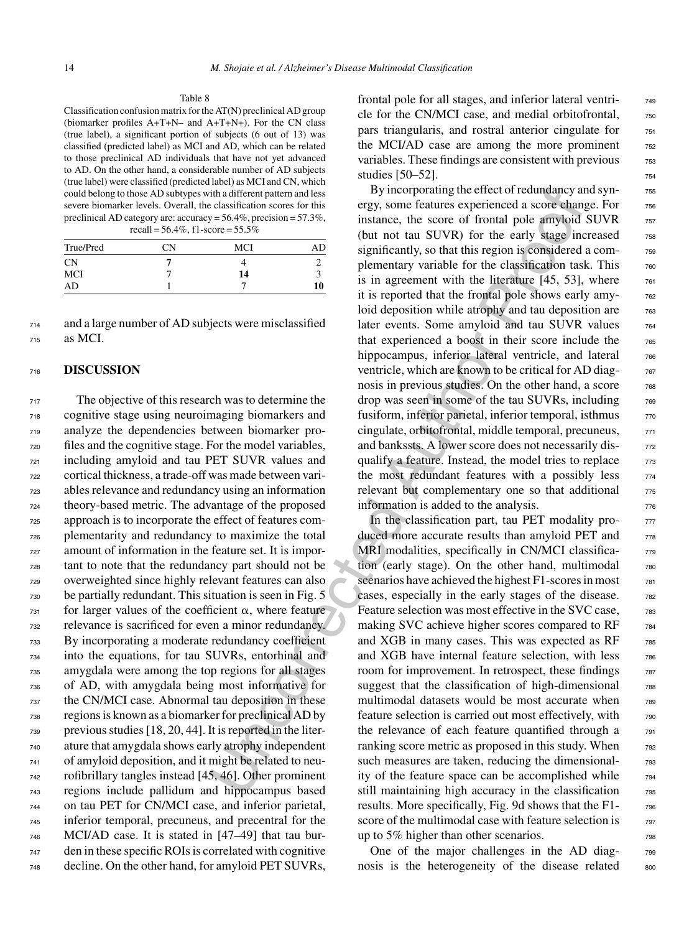Classification confusion matrix for the AT(N) preclinical AD group (biomarker profiles A+T+N– and A+T+N+). For the CN class (true label), a significant portion of subjects (6 out of 13) was classified (predicted label) as MCI and AD, which can be related to those preclinical AD individuals that have not yet advanced to AD. On the other hand, a considerable number of AD subjects (true label) were classified (predicted label) as MCI and CN, which could belong to those AD subtypes with a different pattern and less severe biomarker levels. Overall, the classification scores for this preclinical AD category are: accuracy = 56.4%, precision = 57.3%, recall =  $56.4\%$ , f1-score =  $55.5\%$ 

| True/Pred  | CΝ | MCI | AD |
|------------|----|-----|----|
| <b>CN</b>  |    |     |    |
| <b>MCI</b> |    | 14  |    |
| AD         |    |     | 10 |

<sup>714</sup> and a large number of AD subjects were misclassified <sup>715</sup> as MCI.

## <sup>716</sup> **DISCUSSION**

 The objective of this research was to determine the cognitive stage using neuroimaging biomarkers and analyze the dependencies between biomarker pro- files and the cognitive stage. For the model variables, including amyloid and tau PET SUVR values and cortical thickness, a trade-off was made between vari- ables relevance and redundancy using an information theory-based metric. The advantage of the proposed approach is to incorporate the effect of features com- plementarity and redundancy to maximize the total amount of information in the feature set. It is impor- tant to note that the redundancy part should not be overweighted since highly relevant features can also be partially redundant. This situation is seen in Fig. 5 for larger values of the coefficient  $\alpha$ , where feature relevance is sacrificed for even a minor redundancy. By incorporating a moderate redundancy coefficient into the equations, for tau SUVRs, entorhinal and amygdala were among the top regions for all stages of AD, with amygdala being most informative for the CN/MCI case. Abnormal tau deposition in these regions is known as a biomarker for preclinical AD by previous studies [18, 20, 44]. It is reported in the liter- ature that amygdala shows early atrophy independent of amyloid deposition, and it might be related to neu- rofibrillary tangles instead [45, 46]. Other prominent regions include pallidum and hippocampus based on tau PET for CN/MCI case, and inferior parietal, inferior temporal, precuneus, and precentral for the MCI/AD case. It is stated in [47–49] that tau bur- den in these specific ROIs is correlated with cognitive decline. On the other hand, for amyloid PET SUVRs,

frontal pole for all stages, and inferior lateral ventricle for the CN/MCI case, and medial orbitofrontal,  $\frac{750}{750}$ pars triangularis, and rostral anterior cingulate for  $\frac{751}{751}$ the MCI/AD case are among the more prominent  $752$ variables. These findings are consistent with previous  $\frac{753}{753}$ studies [50–52].

is the different part and less by moroprosiding the effect of redundancy and less elassification scores for this<br>  $v_1 = 5.6.4\%$ , receision = 57.3%. Instance, the score of formal pole army<br>  $v_2 = 6.4\%$ , receision = 57.3% By incorporating the effect of redundancy and synergy, some features experienced a score change. For  $\frac{756}{756}$ instance, the score of frontal pole amyloid SUVR 757 (but not tau SUVR) for the early stage increased 758 significantly, so that this region is considered a complementary variable for the classification task. This  $760$ is in agreement with the literature  $[45, 53]$ , where  $761$ it is reported that the frontal pole shows early amy-<br>  $762$ loid deposition while atrophy and tau deposition are  $\frac{763}{60}$ later events. Some amyloid and tau SUVR values  $_{764}$ that experienced a boost in their score include the 765 hippocampus, inferior lateral ventricle, and lateral 766 ventricle, which are known to be critical for AD diagnosis in previous studies. On the other hand, a score  $\frac{768}{660}$ drop was seen in some of the tau SUVRs, including  $\frac{768}{768}$ fusiform, inferior parietal, inferior temporal, isthmus  $\frac{770}{770}$ cingulate, orbitofrontal, middle temporal, precuneus,  $\frac{771}{771}$ and bankssts. A lower score does not necessarily disqualify a feature. Instead, the model tries to replace  $\frac{773}{275}$ the most redundant features with a possibly less  $774$ relevant but complementary one so that additional  $\frac{775}{775}$ information is added to the analysis.  $776$ 

In the classification part, tau PET modality produced more accurate results than amyloid PET and  $\frac{778}{778}$ MRI modalities, specifically in CN/MCI classification (early stage). On the other hand, multimodal  $\frac{780}{780}$ scenarios have achieved the highest F1-scores in most  $\frac{781}{781}$ cases, especially in the early stages of the disease. 782 Feature selection was most effective in the SVC case,  $\frac{783}{283}$ making SVC achieve higher scores compared to RF 784 and XGB in many cases. This was expected as  $RF$   $785$ and XGB have internal feature selection, with less 786 room for improvement. In retrospect, these findings  $\frac{787}{787}$ suggest that the classification of high-dimensional 788 multimodal datasets would be most accurate when  $\frac{788}{789}$ feature selection is carried out most effectively, with  $\frac{790}{200}$ the relevance of each feature quantified through a 791 ranking score metric as proposed in this study. When  $\frac{792}{2}$ such measures are taken, reducing the dimensionality of the feature space can be accomplished while <sup>794</sup> still maintaining high accuracy in the classification 795 results. More specifically, Fig. 9d shows that the F1- <sup>796</sup> score of the multimodal case with feature selection is  $\frac{797}{797}$ up to  $5\%$  higher than other scenarios.  $798$ 

One of the major challenges in the AD diag-<br>  $799$ nosis is the heterogeneity of the disease related some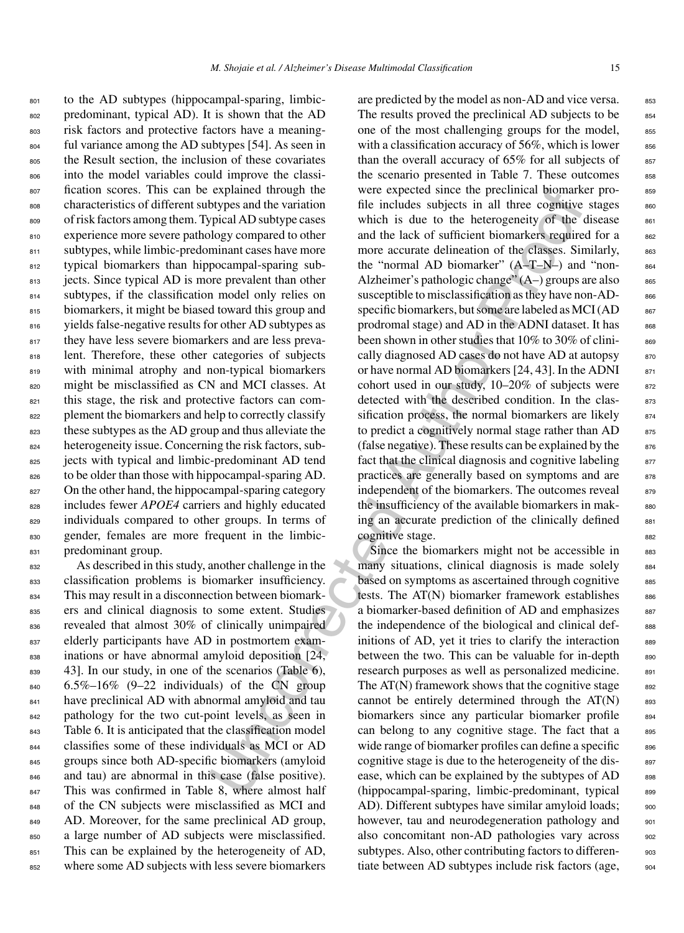<sup>801</sup> to the AD subtypes (hippocampal-sparing, limbic-<sup>802</sup> predominant, typical AD). It is shown that the AD <sup>803</sup> risk factors and protective factors have a meaning-<sup>804</sup> ful variance among the AD subtypes [54]. As seen in <sup>805</sup> the Result section, the inclusion of these covariates <sup>806</sup> into the model variables could improve the classi-<sup>807</sup> fication scores. This can be explained through the <sup>808</sup> characteristics of different subtypes and the variation 809 of risk factors among them. Typical AD subtype cases 810 experience more severe pathology compared to other 811 subtypes, while limbic-predominant cases have more 812 typical biomarkers than hippocampal-sparing sub-813 jects. Since typical AD is more prevalent than other <sup>814</sup> subtypes, if the classification model only relies on 815 biomarkers, it might be biased toward this group and <sup>816</sup> yields false-negative results for other AD subtypes as 817 they have less severe biomarkers and are less preva-818 lent. Therefore, these other categories of subjects 819 with minimal atrophy and non-typical biomarkers <sup>820</sup> might be misclassified as CN and MCI classes. At 821 this stage, the risk and protective factors can com-822 plement the biomarkers and help to correctly classify 823 these subtypes as the AD group and thus alleviate the 824 heterogeneity issue. Concerning the risk factors, sub-825 jects with typical and limbic-predominant AD tend 826 to be older than those with hippocampal-sparing AD. 827 On the other hand, the hippocampal-sparing category 828 includes fewer *APOE4* carriers and highly educated 829 individuals compared to other groups. In terms of <sup>830</sup> gender, females are more frequent in the limbic-831 predominant group.

<sup>832</sup> As described in this study, another challenge in the <sup>833</sup> classification problems is biomarker insufficiency. <sup>834</sup> This may result in a disconnection between biomark-<sup>835</sup> ers and clinical diagnosis to some extent. Studies <sup>836</sup> revealed that almost 30% of clinically unimpaired 837 elderly participants have AD in postmortem exam-<sup>838</sup> inations or have abnormal amyloid deposition [24, 43]. In our study, in one of the scenarios (Table 6),  $840$  6.5%–16% (9–22 individuals) of the CN group 841 have preclinical AD with abnormal amyloid and tau 842 pathology for the two cut-point levels, as seen in 843 Table 6. It is anticipated that the classification model <sup>844</sup> classifies some of these individuals as MCI or AD 845 groups since both AD-specific biomarkers (amyloid <sup>846</sup> and tau) are abnormal in this case (false positive). 847 This was confirmed in Table 8, where almost half 848 of the CN subjects were misclassified as MCI and 849 AD. Moreover, for the same preclinical AD group, <sup>850</sup> a large number of AD subjects were misclassified. 851 This can be explained by the heterogeneity of AD, <sup>852</sup> where some AD subjects with less severe biomarkers

explanate through the were expected since the precisional boynax<br>
explanate through the wariation file includes subjects in all three cognitive<br>
bylyes and the variation file includes subjects in all three cognitive<br>
blogs are predicted by the model as non-AD and vice versa. 853 The results proved the preclinical AD subjects to be  $854$ one of the most challenging groups for the model,  $855$ with a classification accuracy of  $56\%$ , which is lower  $856\%$ than the overall accuracy of  $65\%$  for all subjects of  $85\%$ the scenario presented in Table 7. These outcomes 858 were expected since the preclinical biomarker profile includes subjects in all three cognitive stages ssc which is due to the heterogeneity of the disease  $861$ and the lack of sufficient biomarkers required for a 862 more accurate delineation of the classes. Similarly, 863 the "normal AD biomarker"  $(A-T-N-)$  and "non-Alzheimer's pathologic change"  $(A-)$  groups are also  $865$ susceptible to misclassification as they have non-AD- 866 specific biomarkers, but some are labeled as  $MCI(AD$ <sub>867</sub> prodromal stage) and  $AD$  in the ADNI dataset. It has  $868$ been shown in other studies that 10% to 30% of clinically diagnosed AD cases do not have AD at autopsy  $870$ or have normal AD biomarkers  $[24, 43]$ . In the ADNI  $871$ cohort used in our study,  $10-20\%$  of subjects were  $872$ detected with the described condition. In the classification process, the normal biomarkers are likely  $874$ to predict a cognitively normal stage rather than  $AD$  875 (false negative). These results can be explained by the  $876$ fact that the clinical diagnosis and cognitive labeling  $877$ practices are generally based on symptoms and are 878 independent of the biomarkers. The outcomes reveal  $879$ the insufficiency of the available biomarkers in making an accurate prediction of the clinically defined 881 cognitive stage.

Since the biomarkers might not be accessible in 883 many situations, clinical diagnosis is made solely 884 based on symptoms as ascertained through cognitive 885 tests. The  $AT(N)$  biomarker framework establishes  $886$ a biomarker-based definition of AD and emphasizes 887 the independence of the biological and clinical def-<br>see initions of AD, yet it tries to clarify the interaction  $889$ between the two. This can be valuable for in-depth s<sub>90</sub> research purposes as well as personalized medicine. 891 The  $AT(N)$  framework shows that the cognitive stage  $892$ cannot be entirely determined through the  $AT(N)$  893 biomarkers since any particular biomarker profile 894 can belong to any cognitive stage. The fact that a 895 wide range of biomarker profiles can define a specific  $\qquad$ cognitive stage is due to the heterogeneity of the disease, which can be explained by the subtypes of AD 898 (hippocampal-sparing, limbic-predominant, typical 899 AD). Different subtypes have similar amyloid loads; 900 however, tau and neurodegeneration pathology and  $_{901}$ also concomitant non-AD pathologies vary across 902 subtypes. Also, other contributing factors to differen- 903 tiate between AD subtypes include risk factors (age,  $_{904}$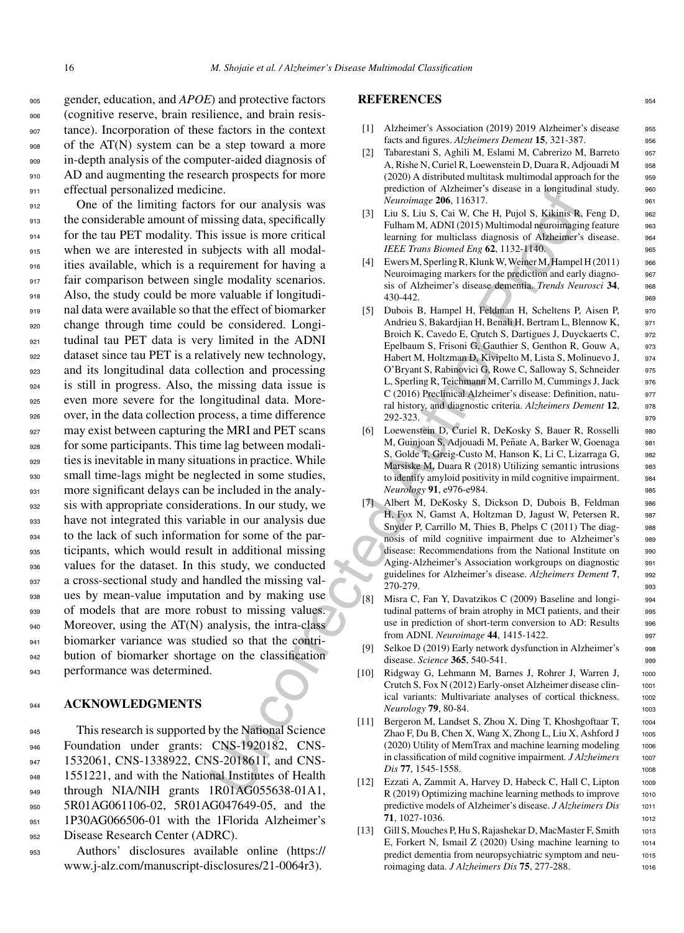gender, education, and *APOE*) and protective factors (cognitive reserve, brain resilience, and brain resis- tance). Incorporation of these factors in the context of the AT(N) system can be a step toward a more in-depth analysis of the computer-aided diagnosis of 910 AD and augmenting the research prospects for more 911 effectual personalized medicine.

me.<br>
In the pencetron of Author is the season of the particular sixtensics of rour analysis was<br>
is issue is note critical<br>
is issue is note critical<br>
is issue is note critical<br>
is issue is note critical<br>
is issue is note One of the limiting factors for our analysis was the considerable amount of missing data, specifically for the tau PET modality. This issue is more critical when we are interested in subjects with all modal- ities available, which is a requirement for having a 917 fair comparison between single modality scenarios. Also, the study could be more valuable if longitudi- nal data were available so that the effect of biomarker change through time could be considered. Longi- tudinal tau PET data is very limited in the ADNI 922 dataset since tau PET is a relatively new technology, and its longitudinal data collection and processing is still in progress. Also, the missing data issue is even more severe for the longitudinal data. More- over, in the data collection process, a time difference 927 may exist between capturing the MRI and PET scans for some participants. This time lag between modali-929 ties is inevitable in many situations in practice. While small time-lags might be neglected in some studies, 931 more significant delays can be included in the analy- sis with appropriate considerations. In our study, we have not integrated this variable in our analysis due to the lack of such information for some of the par-935 ticipants, which would result in additional missing values for the dataset. In this study, we conducted a cross-sectional study and handled the missing val- ues by mean-value imputation and by making use of models that are more robust to missing values. 940 Moreover, using the AT(N) analysis, the intra-class biomarker variance was studied so that the contri- bution of biomarker shortage on the classification performance was determined.

# <sup>944</sup> **ACKNOWLEDGMENTS**

945 This research is supported by the National Science <sup>946</sup> Foundation under grants: CNS-1920182, CNS-947 1532061, CNS-1338922, CNS-2018611, and CNS-948 1551221, and with the National Institutes of Health 949 through NIA/NIH grants 1R01AG055638-01A1, <sup>950</sup> 5R01AG061106-02, 5R01AG047649-05, and the 951 1P30AG066506-01 with the 1Florida Alzheimer's <sup>952</sup> Disease Research Center (ADRC).

<sup>953</sup> Authors' disclosures available online (https:// www.j-alz.com/manuscript-disclosures/21-0064r3).

# **REFERENCES** <sup>954</sup>

- [1] Alzheimer's Association (2019) 2019 Alzheimer's disease 955 facts and figures. *Alzheimers Dement* **15**, 321-387. <sup>956</sup>
- [2] Tabarestani S, Aghili M, Eslami M, Cabrerizo M, Barreto <sup>957</sup> A, Rishe N, Curiel R, Loewenstein D, Duara R, Adjouadi M <sup>958</sup> (2020) A distributed multitask multimodal approach for the 959 prediction of Alzheimer's disease in a longitudinal study. 960 *Neuroimage* **206**, 116317. <sup>961</sup>
- [3] Liu S, Liu S, Cai W, Che H, Pujol S, Kikinis R, Feng D, 962 Fulham M, ADNI (2015) Multimodal neuroimaging feature 963 learning for multiclass diagnosis of Alzheimer's disease. 964 *IEEE Trans Biomed Eng* **62**, 1132-1140. 965
- [4] Ewers M, Sperling R, Klunk W, Weiner M, Hampel H (2011) 966 Neuroimaging markers for the prediction and early diagno-<br>967 sis of Alzheimer's disease dementia. *Trends Neurosci* **34**, <sup>968</sup> 430-442. 969
- [5] Dubois B, Hampel H, Feldman H, Scheltens P, Aisen P, 970 Andrieu S, Bakardjian H, Benali H, Bertram L, Blennow K, 971 Broich K, Cavedo E, Crutch S, Dartigues J, Duyckaerts C, 972 Epelbaum S, Frisoni G, Gauthier S, Genthon R, Gouw A, 973 Habert M, Holtzman D, Kivipelto M, Lista S, Molinuevo J, 974 O'Bryant S, Rabinovici G, Rowe C, Salloway S, Schneider 975 L, Sperling R, Teichmann M, Carrillo M, Cummings J, Jack 976 C (2016) Preclinical Alzheimer's disease: Definition, natu- <sup>977</sup> ral history, and diagnostic criteria. *Alzheimers Dement* **12**, <sup>978</sup> 292-323. <sup>979</sup>
- [6] Loewenstein D, Curiel R, DeKosky S, Bauer R, Rosselli 980 M, Guinjoan S, Adjouadi M, Peñate A, Barker W, Goenaga 981 S, Golde T, Greig-Custo M, Hanson K, Li C, Lizarraga G, 982 Marsiske M, Duara R (2018) Utilizing semantic intrusions 983 to identify amyloid positivity in mild cognitive impairment. 984 *Neurology* 91, e976-e984. 985
- [7] Albert M, DeKosky S, Dickson D, Dubois B, Feldman 986 H, Fox N, Gamst A, Holtzman D, Jagust W, Petersen R, 987 Snyder P, Carrillo M, Thies B, Phelps C (2011) The diag-<br>988 nosis of mild cognitive impairment due to Alzheimer's 989 disease: Recommendations from the National Institute on 990 Aging-Alzheimer's Association workgroups on diagnostic 991 guidelines for Alzheimer's disease. *Alzheimers Dement* **7**, <sup>992</sup> 270-279. <sup>993</sup>
- [8] Misra C, Fan Y, Davatzikos C (2009) Baseline and longi- 994 tudinal patterns of brain atrophy in MCI patients, and their 995 use in prediction of short-term conversion to AD: Results 996 from ADNI. *Neuroimage* **44**, 1415-1422. <sup>997</sup>
- [9] Selkoe D (2019) Early network dysfunction in Alzheimer's 998 disease. *Science* **365**, 540-541. <sup>999</sup>
- [10] Ridgway G, Lehmann M, Barnes J, Rohrer J, Warren J, 1000 Crutch S, Fox N (2012) Early-onset Alzheimer disease clin- <sup>1001</sup> ical variants: Multivariate analyses of cortical thickness. 1002 *Neurology* **79**, 80-84. <sup>1003</sup>
- [11] Bergeron M, Landset S, Zhou X, Ding T, Khoshgoftaar T, <sup>1004</sup> Zhao F, Du B, Chen X, Wang X, Zhong L, Liu X, Ashford  $J_{1005}$ (2020) Utility of MemTrax and machine learning modeling 1006 in classification of mild cognitive impairment. *J Alzheimers* 1007 *Dis* **77**, 1545-1558. 1008
- [12] Ezzati A, Zammit A, Harvey D, Habeck C, Hall C, Lipton 1009 R (2019) Optimizing machine learning methods to improve 1010 predictive models of Alzheimer's disease. *J Alzheimers Dis* 1011 **71**, 1027-1036. 1012
- [13] Gill S, Mouches P, Hu S, Rajashekar D, MacMaster F, Smith 1013 E, Forkert N, Ismail  $Z(2020)$  Using machine learning to  $1014$ [predict](https://www.j-alz.com/manuscript-disclosures/21-0064r3) [dementia](https://www.j-alz.com/manuscript-disclosures/21-0064r3) [from](https://www.j-alz.com/manuscript-disclosures/21-0064r3) [neuropsychiatric](https://www.j-alz.com/manuscript-disclosures/21-0064r3) [symptom](https://www.j-alz.com/manuscript-disclosures/21-0064r3) and neu- <sup>1015</sup> roimaging data. *J Alzheimers Dis* **75**, 277-288. <sup>1016</sup>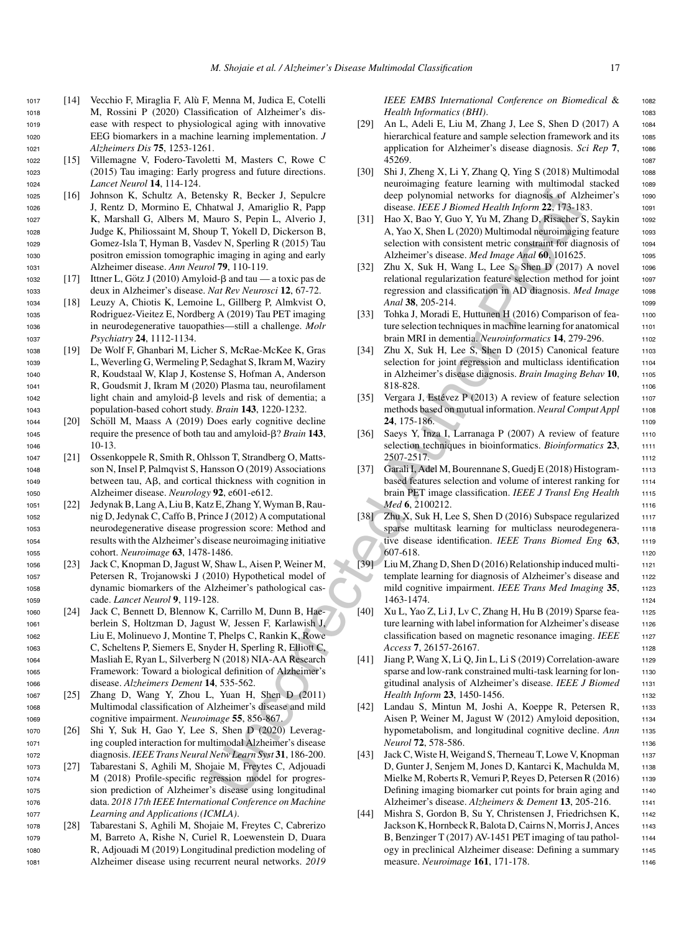- <sup>1017</sup> [14] Vecchio F, Miraglia F, Alu F, Menna M, Judica E, Cotelli ` <sup>1018</sup> M, Rossini P (2020) Classification of Alzheimer's dis-<sup>1019</sup> ease with respect to physiological aging with innovative <sup>1020</sup> EEG biomarkers in a machine learning implementation. *J* <sup>1021</sup> *Alzheimers Dis* **75**, 1253-1261.
- <sup>1022</sup> [15] Villemagne V, Fodero-Tavoletti M, Masters C, Rowe C <sup>1023</sup> (2015) Tau imaging: Early progress and future directions. <sup>1024</sup> *Lancet Neurol* **14**, 114-124.
- <sup>1025</sup> [16] Johnson K, Schultz A, Betensky R, Becker J, Sepulcre <sup>1026</sup> J, Rentz D, Mormino E, Chhatwal J, Amariglio R, Papp <sup>1027</sup> K, Marshall G, Albers M, Mauro S, Pepin L, Alverio J, <sup>1028</sup> Judge K, Philiossaint M, Shoup T, Yokell D, Dickerson B, <sup>1029</sup> Gomez-Isla T, Hyman B, Vasdev N, Sperling R (2015) Tau <sup>1030</sup> positron emission tomographic imaging in aging and early <sup>1031</sup> Alzheimer disease. *Ann Neurol* **79**, 110-119.
- 1032 [17] Ittner L, Götz J (2010) Amyloid- $\beta$  and tau a toxic pas de <sup>1033</sup> deux in Alzheimer's disease. *Nat Rev Neurosci* **12**, 67-72.
- <sup>1034</sup> [18] Leuzy A, Chiotis K, Lemoine L, Gillberg P, Almkvist O, <sup>1035</sup> Rodriguez-Vieitez E, Nordberg A (2019) Tau PET imaging <sup>1036</sup> in neurodegenerative tauopathies—still a challenge. *Molr* <sup>1037</sup> *Psychiatry* **24**, 1112-1134.
- <sup>1038</sup> [19] De Wolf F, Ghanbari M, Licher S, McRae-McKee K, Gras <sup>1039</sup> L, Weverling G, Wermeling P, Sedaghat S, Ikram M, Waziry <sup>1040</sup> R, Koudstaal W, Klap J, Kostense S, Hofman A, Anderson <sup>1041</sup> R, Goudsmit J, Ikram M (2020) Plasma tau, neurofilament  $1042$  light chain and amyloid- $\beta$  levels and risk of dementia; a <sup>1043</sup> population-based cohort study. *Brain* **143**, 1220-1232.
- 1044 [20] Schöll M, Maass A (2019) Does early cognitive decline <sup>1045</sup> require the presence of both tau and amyloid--? *Brain* **143**, <sup>1046</sup> 10-13.
- <sup>1047</sup> [21] Ossenkoppele R, Smith R, Ohlsson T, Strandberg O, Matts-<sup>1048</sup> son N, Insel P, Palmqvist S, Hansson O (2019) Associations  $1049$  between tau, A $\beta$ , and cortical thickness with cognition in <sup>1050</sup> Alzheimer disease. *Neurology* **92**, e601-e612.
- <sup>1051</sup> [22] Jedynak B, Lang A, Liu B, Katz E, Zhang Y, Wyman B, Rau-<sup>1052</sup> nig D, Jedynak C, Caffo B, Prince J (2012) A computational <sup>1053</sup> neurodegenerative disease progression score: Method and <sup>1054</sup> results with the Alzheimer's disease neuroimaging initiative <sup>1055</sup> cohort. *Neuroimage* **63**, 1478-1486.
- <sup>1056</sup> [23] Jack C, Knopman D, Jagust W, Shaw L, Aisen P, Weiner M, <sup>1057</sup> Petersen R, Trojanowski J (2010) Hypothetical model of <sup>1058</sup> dynamic biomarkers of the Alzheimer's pathological cas-<sup>1059</sup> cade. *Lancet Neurol* **9**, 119-128.
- <sup>1060</sup> [24] Jack C, Bennett D, Blennow K, Carrillo M, Dunn B, Hae-<sup>1061</sup> berlein S, Holtzman D, Jagust W, Jessen F, Karlawish J, <sup>1062</sup> Liu E, Molinuevo J, Montine T, Phelps C, Rankin K, Rowe <sup>1063</sup> C, Scheltens P, Siemers E, Snyder H, Sperling R, Elliott C, <sup>1064</sup> Masliah E, Ryan L, Silverberg N (2018) NIA-AA Research <sup>1065</sup> Framework: Toward a biological definition of Alzheimer's <sup>1066</sup> disease. *Alzheimers Dement* **14**, 535-562.
- <sup>1067</sup> [25] Zhang D, Wang Y, Zhou L, Yuan H, Shen D (2011) <sup>1068</sup> Multimodal classification of Alzheimer's disease and mild <sup>1069</sup> cognitive impairment. *Neuroimage* **55**, 856-867.
- <sup>1070</sup> [26] Shi Y, Suk H, Gao Y, Lee S, Shen D (2020) Leverag-<sup>1071</sup> ing coupled interaction for multimodal Alzheimer's disease <sup>1072</sup> diagnosis. *IEEE Trans Neural Netw Learn Syst* **31**, 186-200.
- <sup>1073</sup> [27] Tabarestani S, Aghili M, Shojaie M, Freytes C, Adjouadi <sup>1074</sup> M (2018) Profile-specific regression model for progres-<sup>1075</sup> sion prediction of Alzheimer's disease using longitudinal <sup>1076</sup> data. *2018 17th IEEE International Conference on Machine* <sup>1077</sup> *Learning and Applications (ICMLA)*.
- <sup>1078</sup> [28] Tabarestani S, Aghili M, Shojaie M, Freytes C, Cabrerizo <sup>1079</sup> M, Barreto A, Rishe N, Curiel R, Loewenstein D, Duara <sup>1080</sup> R, Adjouadi M (2019) Longitudinal prediction modeling of <sup>1081</sup> Alzheimer disease using recurrent neural networks. *2019*

*IEEE EMBS International Conference on Biomedical* & <sup>1082</sup> *Health Informatics (BHI)*.

- [29] An L, Adeli E, Liu M, Zhang J, Lee S, Shen D (2017) A 1084 hierarchical feature and sample selection framework and its 1085 application for Alzheimer's disease diagnosis. *Sci Rep* **7**, <sup>1086</sup> 45269. <sup>1087</sup>
- [30] Shi J, Zheng X, Li Y, Zhang Q, Ying S (2018) Multimodal 1088 neuroimaging feature learning with multimodal stacked 1089 deep polynomial networks for diagnosis of Alzheimer's 1090 disease. *IEEE J Biomed Health Inform* **22**, 173-183. <sup>1091</sup>
- [31] Hao X, Bao Y, Guo Y, Yu M, Zhang D, Risacher S, Saykin 1092 A, Yao X, Shen L (2020) Multimodal neuroimaging feature 1093 selection with consistent metric constraint for diagnosis of 1094 Alzheimer's disease. *Med Image Anal* 60, 101625.
- [32] Zhu X, Suk H, Wang L, Lee S, Shen D (2017) A novel 1096 relational regularization feature selection method for joint 1097 regression and classification in AD diagnosis. *Med Image* <sup>1098</sup> *Anal* **<b>38**, 205-214. 1099
- [33] Tohka J, Moradi E, Huttunen H (2016) Comparison of fea-<br>1100 ture selection techniques in machine learning for anatomical 1101 brain MRI in dementia. *Neuroinformatics* 14, 279-296. 1102
- [34] Zhu X, Suk H, Lee S, Shen D (2015) Canonical feature 1103 selection for joint regression and multiclass identification 1104 in Alzheimer's disease diagnosis. *Brain Imaging Behav* **10**, <sup>1105</sup> 818-828. 1106
- [35] Vergara J, Estévez P (2013) A review of feature selection 1107 methods based on mutual information. *Neural Comput Appl* 1108 **24**, 175-186. 1109
- [36] Saeys Y, Inza I, Larranaga P (2007) A review of feature 1110 selection techniques in bioinformatics. *Bioinformatics* 23, 1111 2507-2517. <sup>1112</sup>
- [37] Garali I, Adel M, Bourennane S, Guedj E (2018) Histogram- 1113 based features selection and volume of interest ranking for 1114 brain PET image classification. *IEEE J Transl Eng Health* <sup>1115</sup> *Med* **6**, 2100212. 1116
- msky R. Becker J. September 11. (1991)<br>
Martigle Rossen polynomial networks for diagnosis of Alternation and<br>
Harvard J. Amarigle R. Papp T. Nokel D. Diskorson B.<br>
Harvard J. Amargle R. (2015) Hao X. Ran V. Gove V, War Am [38] Zhu X, Suk H, Lee S, Shen D (2016) Subspace regularized 1117 sparse multitask learning for multiclass neurodegenera-<br>1118 tive disease identification. *IEEE Trans Biomed Eng* 63, 1119 607-618. <sup>1120</sup>
	- [39] Liu M, Zhang D, Shen D (2016) Relationship induced multi- <sup>1121</sup> template learning for diagnosis of Alzheimer's disease and 1122 mild cognitive impairment. *IEEE Trans Med Imaging* 35, 1123 1463-1474. <sup>1124</sup>
	- [40] Xu L, Yao Z, Li J, Lv C, Zhang H, Hu B (2019) Sparse fea- <sup>1125</sup> ture learning with label information for Alzheimer's disease 1126 classification based on magnetic resonance imaging. *IEEE* 1127 *Access* **7**, 26157-26167. <sup>1128</sup>
	- [41] Jiang P, Wang X, Li Q, Jin L, Li S (2019) Correlation-aware  $1129$ sparse and low-rank constrained multi-task learning for lon-<br>1130 gitudinal analysis of Alzheimer's disease. *IEEE J Biomed* 1131 *Health Inform* 23, 1450-1456. 1132
	- [42] Landau S, Mintun M, Joshi A, Koeppe R, Petersen R, 1133 Aisen P, Weiner M, Jagust W (2012) Amyloid deposition, 1134 hypometabolism, and longitudinal cognitive decline. Ann 1135 *Neurol* **72**, 578-586. 1136
	- [43] Jack C, Wiste H, Weigand S, Therneau T, Lowe V, Knopman 1137 D, Gunter J, Senjem M, Jones D, Kantarci K, Machulda M, 1138 Mielke M, Roberts R, Vemuri P, Reyes D, Petersen R (2016) 1139 Defining imaging biomarker cut points for brain aging and 1140 Alzheimer's disease. *Alzheimers* & *Dement* **13**, 205-216. <sup>1141</sup>
	- [44] Mishra S, Gordon B, Su Y, Christensen J, Friedrichsen K, 1142 Jackson K, Hornbeck R, Balota D, Cairns N, Morris J, Ances 1143 B, Benzinger T (2017) AV-1451 PET imaging of tau pathol- 1144 ogy in preclinical Alzheimer disease: Defining a summary <sup>1145</sup> measure. *Neuroimage* **161**, 171-178. <sup>1146</sup>